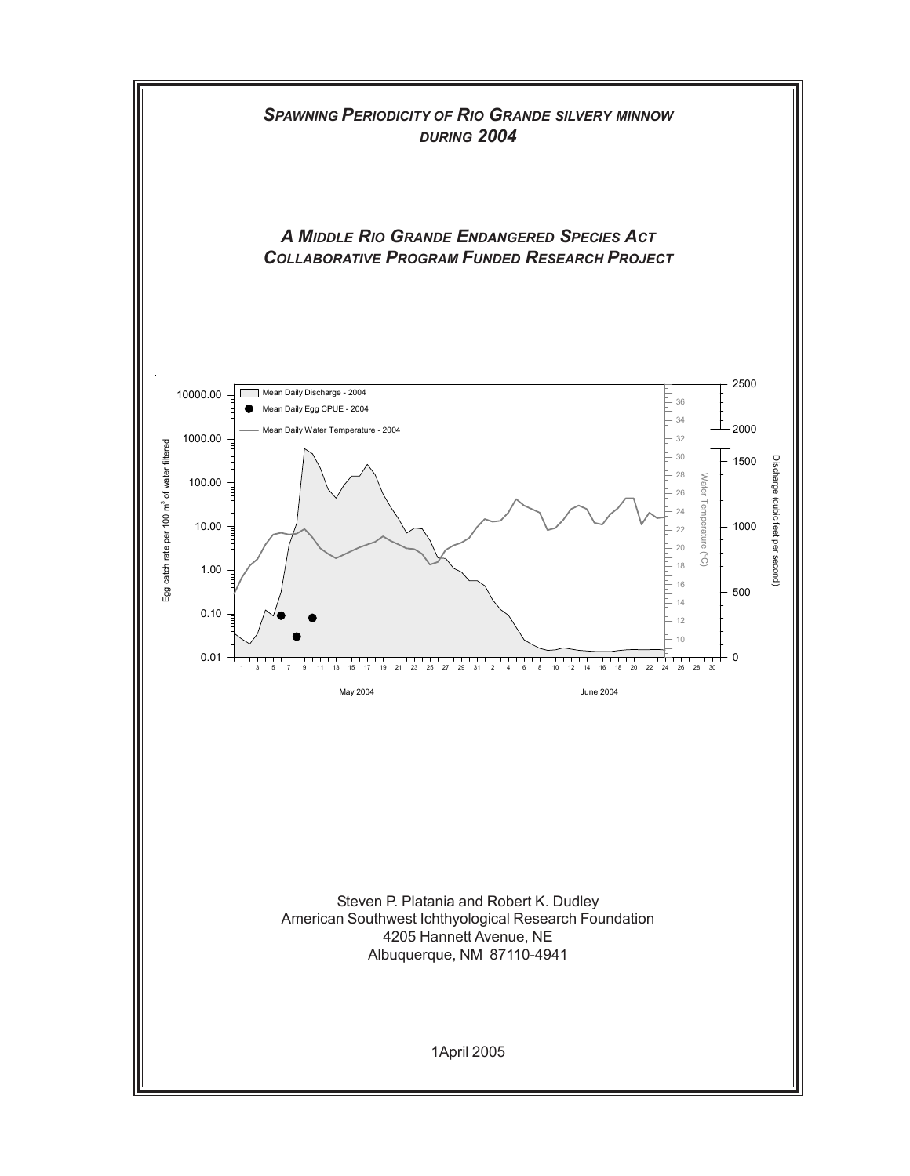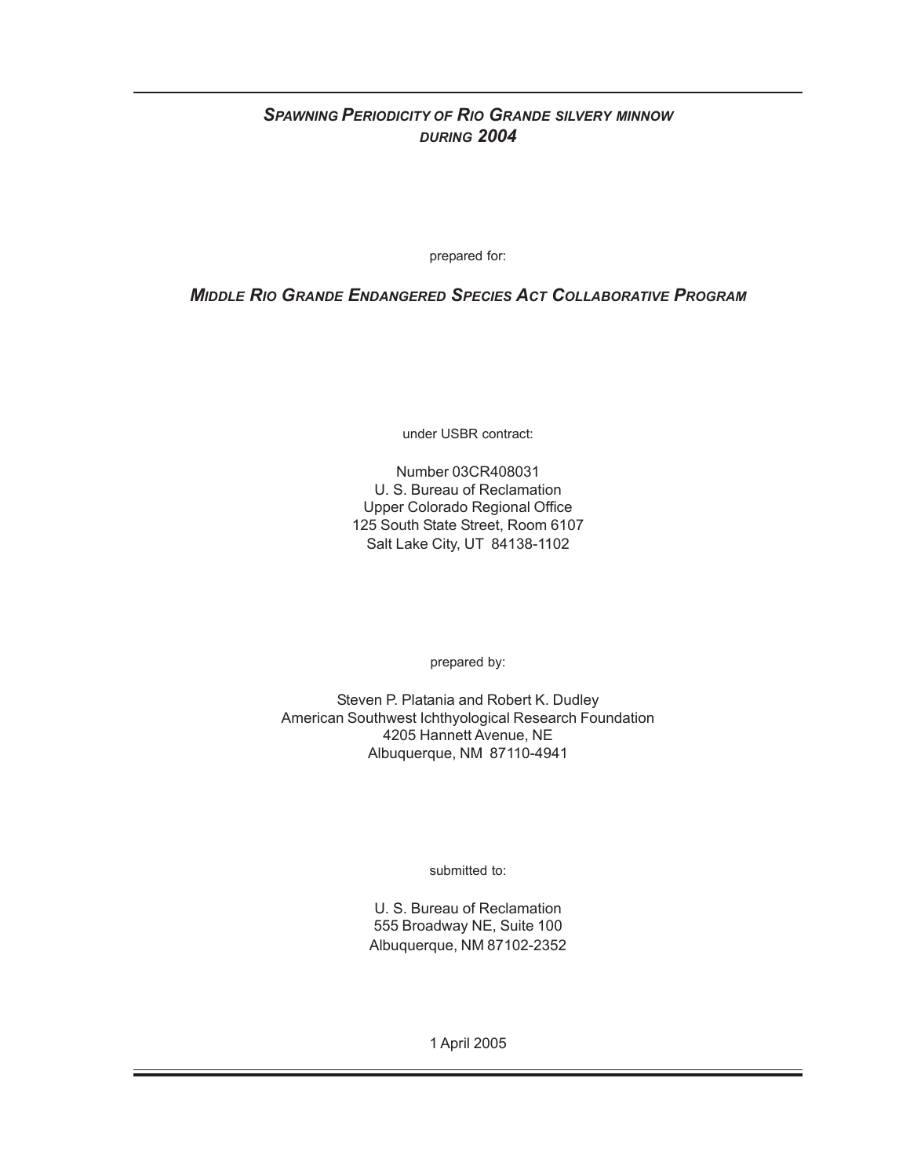# *SPAWNING PERIODICITY OF RIO GRANDE SILVERY MINNOW DURING 2004*

prepared for:

*MIDDLE RIO GRANDE ENDANGERED SPECIES ACT COLLABORATIVE PROGRAM*

under USBR contract:

Number 03CR408031 U. S. Bureau of Reclamation Upper Colorado Regional Office 125 South State Street, Room 6107 Salt Lake City, UT 84138-1102

prepared by:

Steven P. Platania and Robert K. Dudley American Southwest Ichthyological Research Foundation 4205 Hannett Avenue, NE Albuquerque, NM 87110-4941

submitted to:

U. S. Bureau of Reclamation 555 Broadway NE, Suite 100 Albuquerque, NM 87102-2352

1 April 2005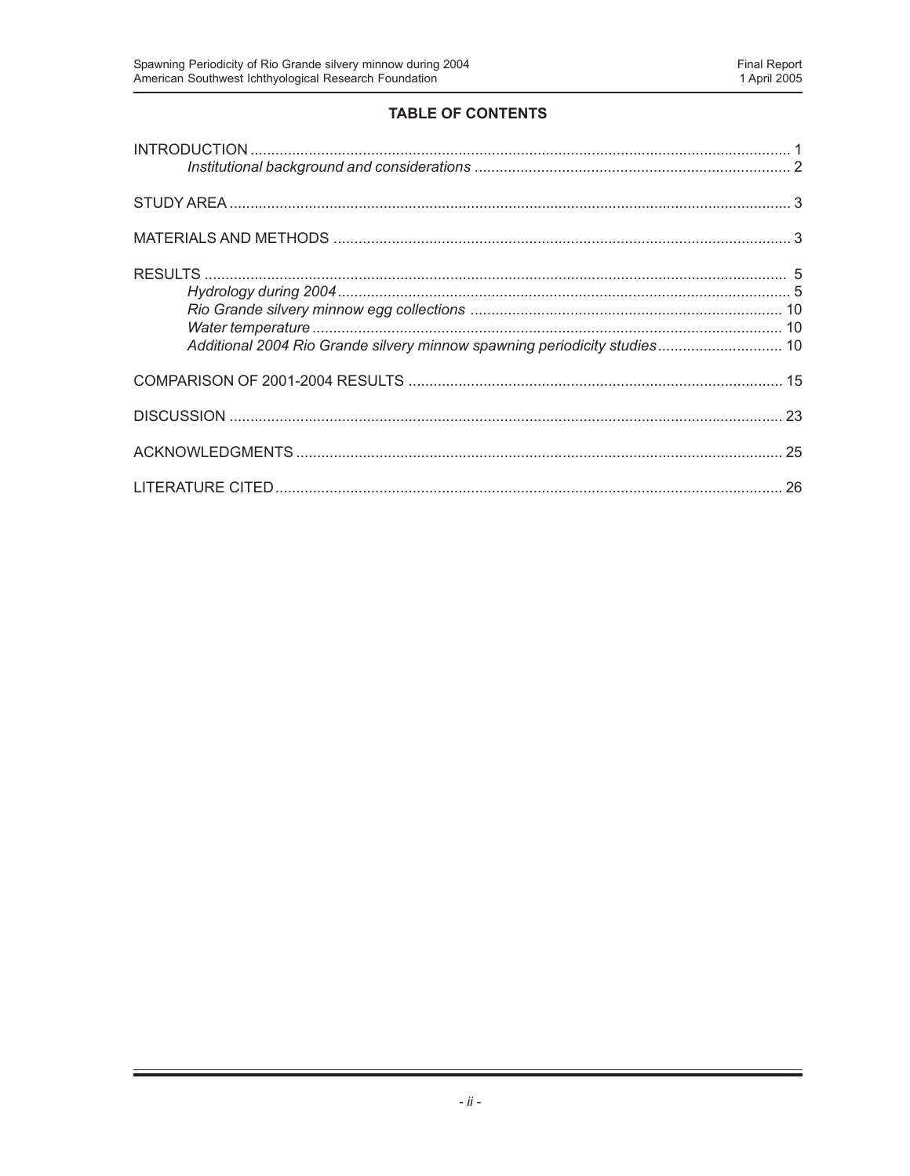# **TABLE OF CONTENTS**

| Additional 2004 Rio Grande silvery minnow spawning periodicity studies 10 |  |
|---------------------------------------------------------------------------|--|
|                                                                           |  |
|                                                                           |  |
|                                                                           |  |
|                                                                           |  |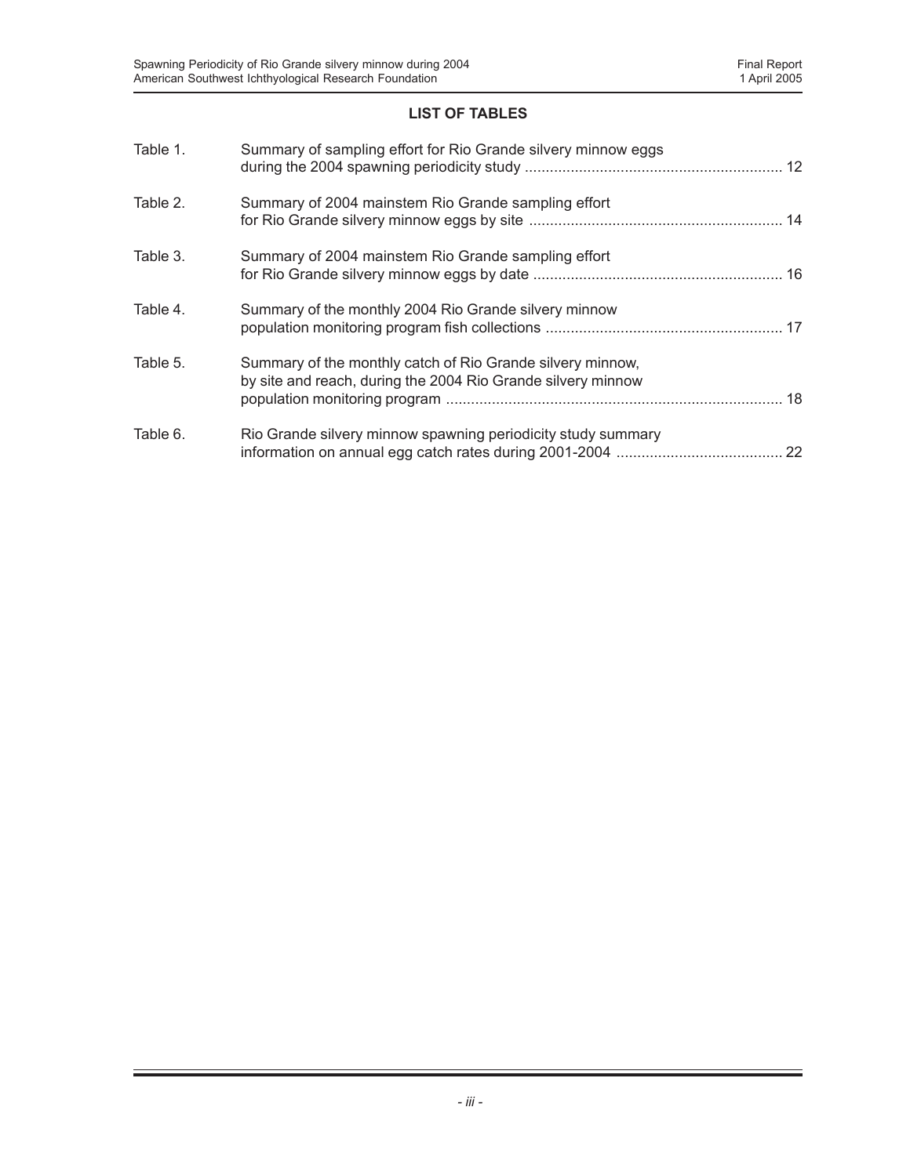# **LIST OF TABLES**

| Table 1. | Summary of sampling effort for Rio Grande silvery minnow eggs                                                              |  |
|----------|----------------------------------------------------------------------------------------------------------------------------|--|
| Table 2. | Summary of 2004 mainstem Rio Grande sampling effort                                                                        |  |
| Table 3. | Summary of 2004 mainstem Rio Grande sampling effort                                                                        |  |
| Table 4. | Summary of the monthly 2004 Rio Grande silvery minnow                                                                      |  |
| Table 5. | Summary of the monthly catch of Rio Grande silvery minnow,<br>by site and reach, during the 2004 Rio Grande silvery minnow |  |
| Table 6. | Rio Grande silvery minnow spawning periodicity study summary                                                               |  |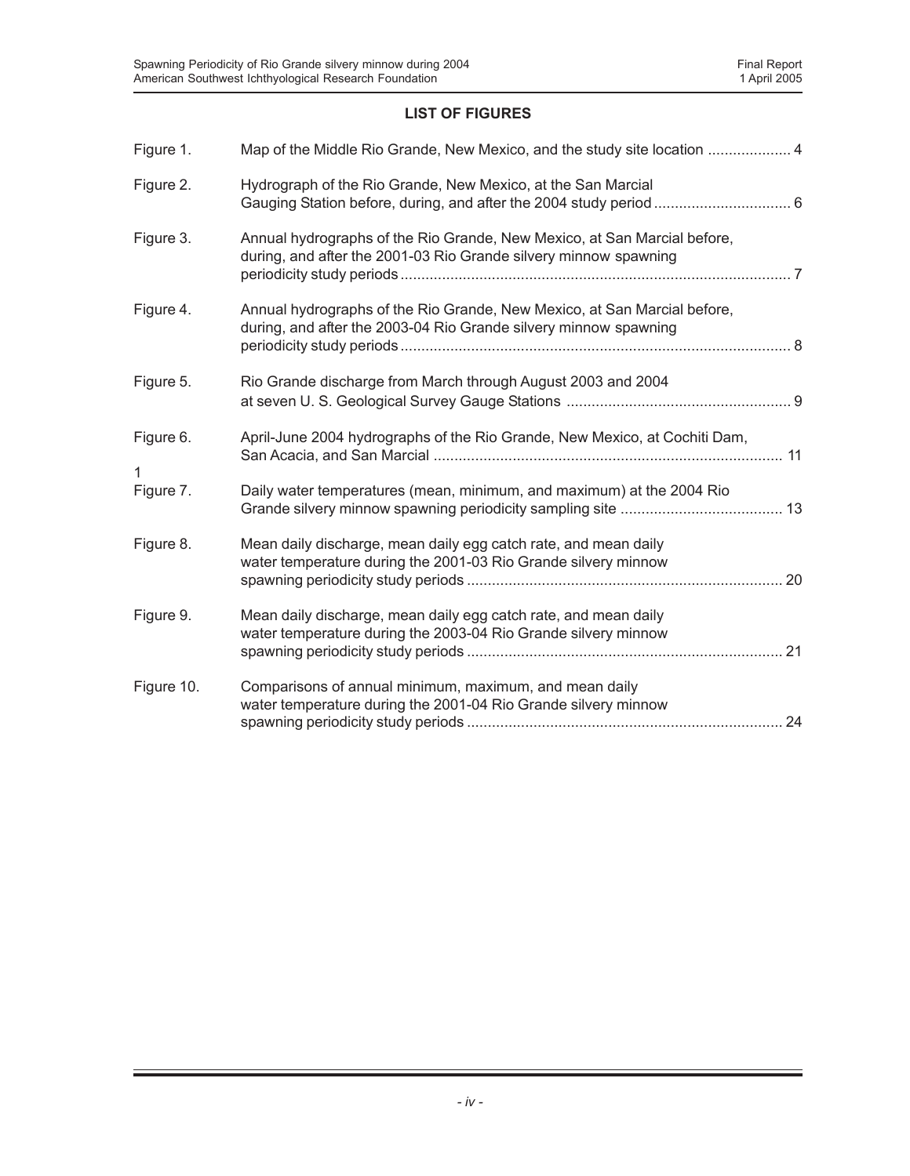# **LIST OF FIGURES**

| Figure 1.  | Map of the Middle Rio Grande, New Mexico, and the study site location  4                                                                     |  |
|------------|----------------------------------------------------------------------------------------------------------------------------------------------|--|
| Figure 2.  | Hydrograph of the Rio Grande, New Mexico, at the San Marcial                                                                                 |  |
| Figure 3.  | Annual hydrographs of the Rio Grande, New Mexico, at San Marcial before,<br>during, and after the 2001-03 Rio Grande silvery minnow spawning |  |
| Figure 4.  | Annual hydrographs of the Rio Grande, New Mexico, at San Marcial before,<br>during, and after the 2003-04 Rio Grande silvery minnow spawning |  |
| Figure 5.  | Rio Grande discharge from March through August 2003 and 2004                                                                                 |  |
| Figure 6.  | April-June 2004 hydrographs of the Rio Grande, New Mexico, at Cochiti Dam,                                                                   |  |
| Figure 7.  | Daily water temperatures (mean, minimum, and maximum) at the 2004 Rio                                                                        |  |
| Figure 8.  | Mean daily discharge, mean daily egg catch rate, and mean daily<br>water temperature during the 2001-03 Rio Grande silvery minnow            |  |
| Figure 9.  | Mean daily discharge, mean daily egg catch rate, and mean daily<br>water temperature during the 2003-04 Rio Grande silvery minnow            |  |
| Figure 10. | Comparisons of annual minimum, maximum, and mean daily<br>water temperature during the 2001-04 Rio Grande silvery minnow                     |  |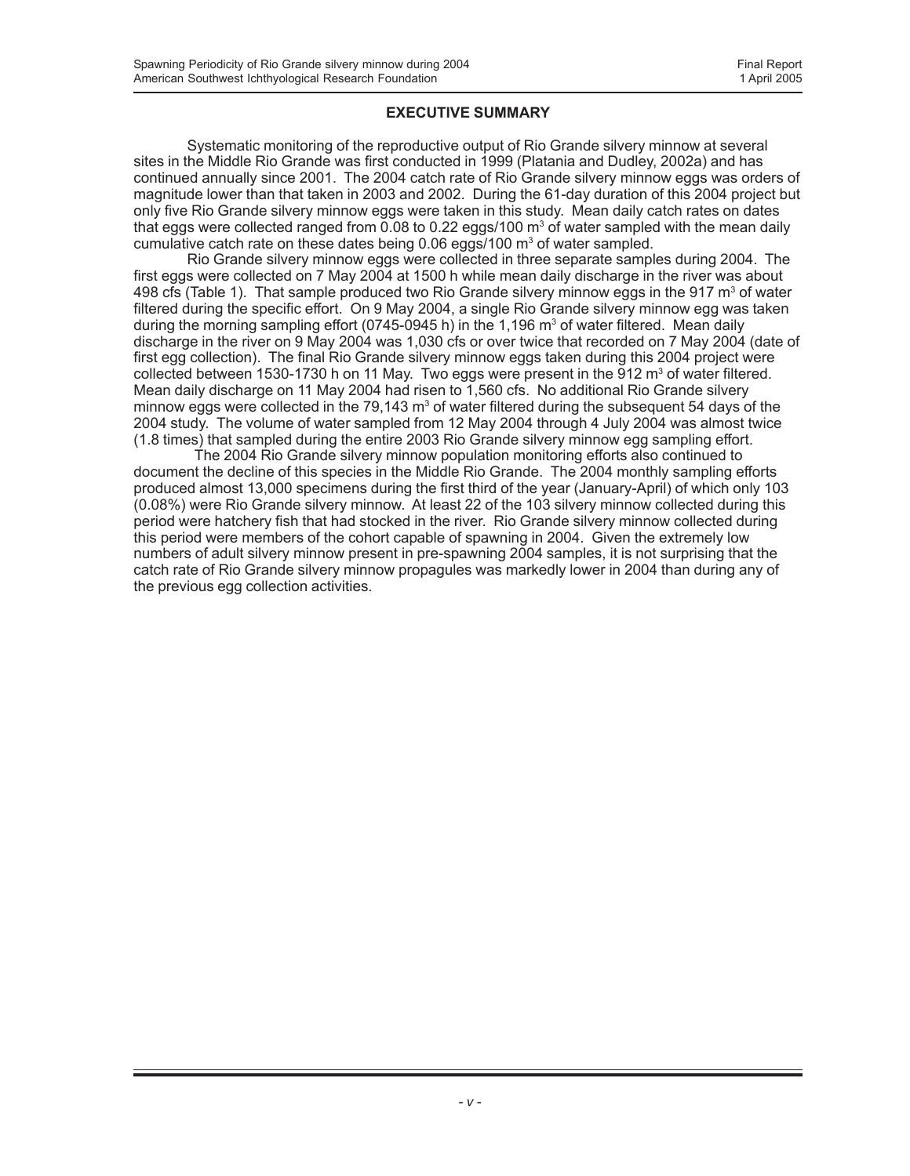### **EXECUTIVE SUMMARY**

Systematic monitoring of the reproductive output of Rio Grande silvery minnow at several sites in the Middle Rio Grande was first conducted in 1999 (Platania and Dudley, 2002a) and has continued annually since 2001. The 2004 catch rate of Rio Grande silvery minnow eggs was orders of magnitude lower than that taken in 2003 and 2002. During the 61-day duration of this 2004 project but only five Rio Grande silvery minnow eggs were taken in this study. Mean daily catch rates on dates that eggs were collected ranged from 0.08 to 0.22 eggs/100 m<sup>3</sup> of water sampled with the mean daily cumulative catch rate on these dates being  $0.06$  eggs/100  $\mathrm{m}^3$  of water sampled.

Rio Grande silvery minnow eggs were collected in three separate samples during 2004. The first eggs were collected on 7 May 2004 at 1500 h while mean daily discharge in the river was about 498 cfs (Table 1). That sample produced two Rio Grande silvery minnow eggs in the 917  $\textsf{m}^3$  of water filtered during the specific effort. On 9 May 2004, a single Rio Grande silvery minnow egg was taken during the morning sampling effort (0745-0945 h) in the 1,196 m<sup>3</sup> of water filtered. Mean daily discharge in the river on 9 May 2004 was 1,030 cfs or over twice that recorded on 7 May 2004 (date of first egg collection). The final Rio Grande silvery minnow eggs taken during this 2004 project were collected between 1530-1730 h on 11 May. Two eggs were present in the 912  $\text{m}^3$  of water filtered. Mean daily discharge on 11 May 2004 had risen to 1,560 cfs. No additional Rio Grande silvery minnow eggs were collected in the 79,143  $\text{m}^3$  of water filtered during the subsequent 54 days of the 2004 study. The volume of water sampled from 12 May 2004 through 4 July 2004 was almost twice (1.8 times) that sampled during the entire 2003 Rio Grande silvery minnow egg sampling effort.

 The 2004 Rio Grande silvery minnow population monitoring efforts also continued to document the decline of this species in the Middle Rio Grande. The 2004 monthly sampling efforts produced almost 13,000 specimens during the first third of the year (January-April) of which only 103 (0.08%) were Rio Grande silvery minnow. At least 22 of the 103 silvery minnow collected during this period were hatchery fish that had stocked in the river. Rio Grande silvery minnow collected during this period were members of the cohort capable of spawning in 2004. Given the extremely low numbers of adult silvery minnow present in pre-spawning 2004 samples, it is not surprising that the catch rate of Rio Grande silvery minnow propagules was markedly lower in 2004 than during any of the previous egg collection activities.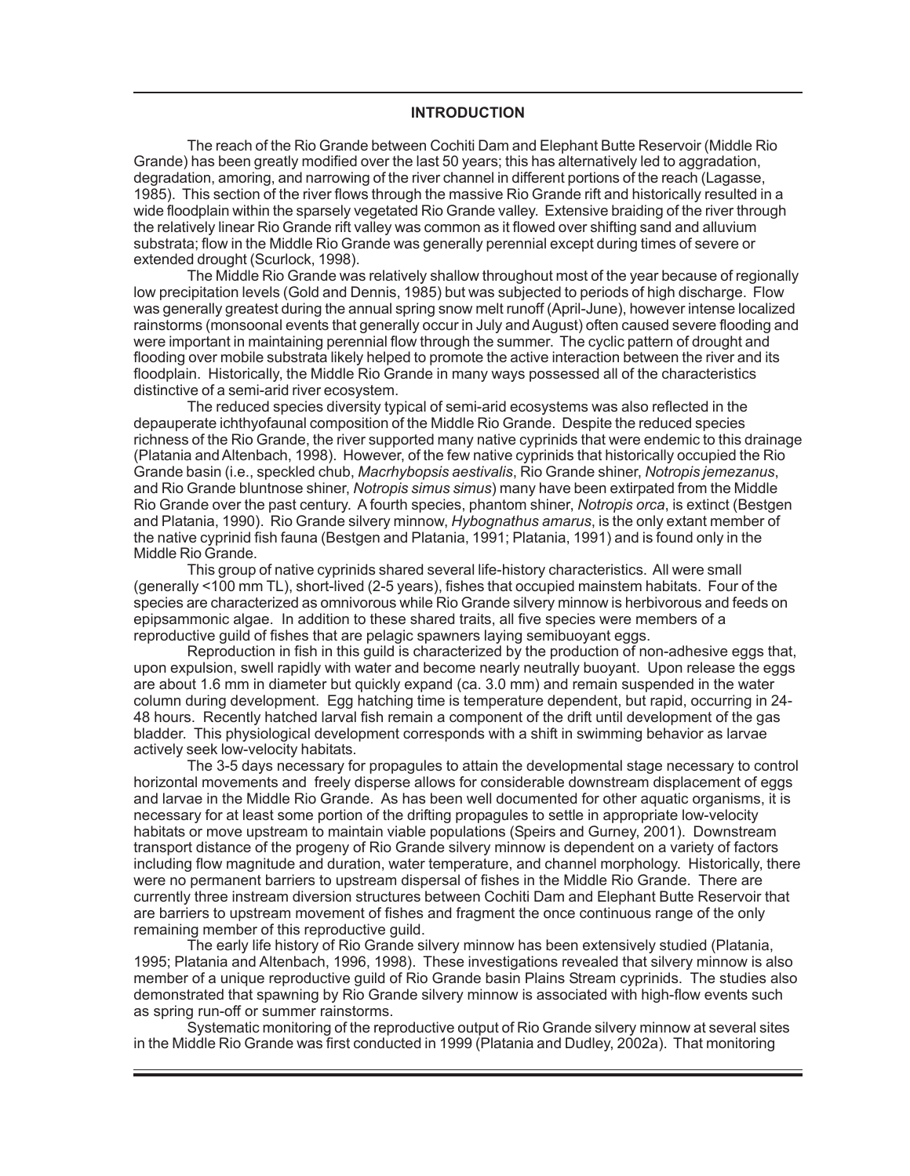#### **INTRODUCTION**

The reach of the Rio Grande between Cochiti Dam and Elephant Butte Reservoir (Middle Rio Grande) has been greatly modified over the last 50 years; this has alternatively led to aggradation, degradation, amoring, and narrowing of the river channel in different portions of the reach (Lagasse, 1985). This section of the river flows through the massive Rio Grande rift and historically resulted in a wide floodplain within the sparsely vegetated Rio Grande valley. Extensive braiding of the river through the relatively linear Rio Grande rift valley was common as it flowed over shifting sand and alluvium substrata; flow in the Middle Rio Grande was generally perennial except during times of severe or extended drought (Scurlock, 1998).

The Middle Rio Grande was relatively shallow throughout most of the year because of regionally low precipitation levels (Gold and Dennis, 1985) but was subjected to periods of high discharge. Flow was generally greatest during the annual spring snow melt runoff (April-June), however intense localized rainstorms (monsoonal events that generally occur in July and August) often caused severe flooding and were important in maintaining perennial flow through the summer. The cyclic pattern of drought and flooding over mobile substrata likely helped to promote the active interaction between the river and its floodplain. Historically, the Middle Rio Grande in many ways possessed all of the characteristics distinctive of a semi-arid river ecosystem.

The reduced species diversity typical of semi-arid ecosystems was also reflected in the depauperate ichthyofaunal composition of the Middle Rio Grande. Despite the reduced species richness of the Rio Grande, the river supported many native cyprinids that were endemic to this drainage (Platania and Altenbach, 1998). However, of the few native cyprinids that historically occupied the Rio Grande basin (i.e., speckled chub, *Macrhybopsis aestivalis*, Rio Grande shiner, *Notropis jemezanus*, and Rio Grande bluntnose shiner, *Notropis simus simus*) many have been extirpated from the Middle Rio Grande over the past century. A fourth species, phantom shiner, *Notropis orca*, is extinct (Bestgen and Platania, 1990). Rio Grande silvery minnow, *Hybognathus amarus*, is the only extant member of the native cyprinid fish fauna (Bestgen and Platania, 1991; Platania, 1991) and is found only in the Middle Rio Grande.

This group of native cyprinids shared several life-history characteristics. All were small (generally <100 mm TL), short-lived (2-5 years), fishes that occupied mainstem habitats. Four of the species are characterized as omnivorous while Rio Grande silvery minnow is herbivorous and feeds on epipsammonic algae. In addition to these shared traits, all five species were members of a reproductive guild of fishes that are pelagic spawners laying semibuoyant eggs.

Reproduction in fish in this guild is characterized by the production of non-adhesive eggs that, upon expulsion, swell rapidly with water and become nearly neutrally buoyant. Upon release the eggs are about 1.6 mm in diameter but quickly expand (ca. 3.0 mm) and remain suspended in the water column during development. Egg hatching time is temperature dependent, but rapid, occurring in 24- 48 hours. Recently hatched larval fish remain a component of the drift until development of the gas bladder. This physiological development corresponds with a shift in swimming behavior as larvae actively seek low-velocity habitats.

The 3-5 days necessary for propagules to attain the developmental stage necessary to control horizontal movements and freely disperse allows for considerable downstream displacement of eggs and larvae in the Middle Rio Grande. As has been well documented for other aquatic organisms, it is necessary for at least some portion of the drifting propagules to settle in appropriate low-velocity habitats or move upstream to maintain viable populations (Speirs and Gurney, 2001). Downstream transport distance of the progeny of Rio Grande silvery minnow is dependent on a variety of factors including flow magnitude and duration, water temperature, and channel morphology. Historically, there were no permanent barriers to upstream dispersal of fishes in the Middle Rio Grande. There are currently three instream diversion structures between Cochiti Dam and Elephant Butte Reservoir that are barriers to upstream movement of fishes and fragment the once continuous range of the only remaining member of this reproductive guild.

The early life history of Rio Grande silvery minnow has been extensively studied (Platania, 1995; Platania and Altenbach, 1996, 1998). These investigations revealed that silvery minnow is also member of a unique reproductive guild of Rio Grande basin Plains Stream cyprinids. The studies also demonstrated that spawning by Rio Grande silvery minnow is associated with high-flow events such as spring run-off or summer rainstorms.

Systematic monitoring of the reproductive output of Rio Grande silvery minnow at several sites in the Middle Rio Grande was first conducted in 1999 (Platania and Dudley, 2002a). That monitoring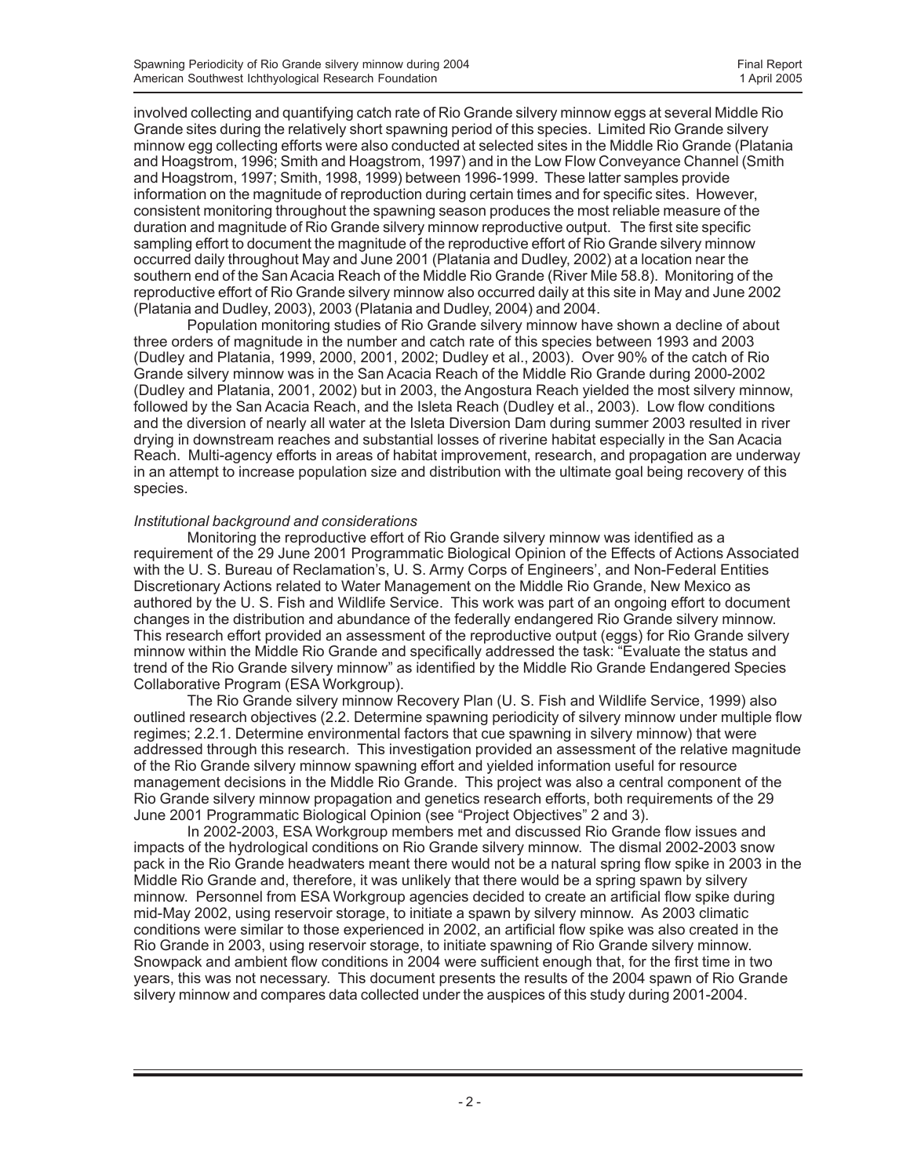involved collecting and quantifying catch rate of Rio Grande silvery minnow eggs at several Middle Rio Grande sites during the relatively short spawning period of this species. Limited Rio Grande silvery minnow egg collecting efforts were also conducted at selected sites in the Middle Rio Grande (Platania and Hoagstrom, 1996; Smith and Hoagstrom, 1997) and in the Low Flow Conveyance Channel (Smith and Hoagstrom, 1997; Smith, 1998, 1999) between 1996-1999. These latter samples provide information on the magnitude of reproduction during certain times and for specific sites. However, consistent monitoring throughout the spawning season produces the most reliable measure of the duration and magnitude of Rio Grande silvery minnow reproductive output. The first site specific sampling effort to document the magnitude of the reproductive effort of Rio Grande silvery minnow occurred daily throughout May and June 2001 (Platania and Dudley, 2002) at a location near the southern end of the San Acacia Reach of the Middle Rio Grande (River Mile 58.8). Monitoring of the reproductive effort of Rio Grande silvery minnow also occurred daily at this site in May and June 2002 (Platania and Dudley, 2003), 2003 (Platania and Dudley, 2004) and 2004.

Population monitoring studies of Rio Grande silvery minnow have shown a decline of about three orders of magnitude in the number and catch rate of this species between 1993 and 2003 (Dudley and Platania, 1999, 2000, 2001, 2002; Dudley et al., 2003). Over 90% of the catch of Rio Grande silvery minnow was in the San Acacia Reach of the Middle Rio Grande during 2000-2002 (Dudley and Platania, 2001, 2002) but in 2003, the Angostura Reach yielded the most silvery minnow, followed by the San Acacia Reach, and the Isleta Reach (Dudley et al., 2003). Low flow conditions and the diversion of nearly all water at the Isleta Diversion Dam during summer 2003 resulted in river drying in downstream reaches and substantial losses of riverine habitat especially in the San Acacia Reach. Multi-agency efforts in areas of habitat improvement, research, and propagation are underway in an attempt to increase population size and distribution with the ultimate goal being recovery of this species.

#### *Institutional background and considerations*

Monitoring the reproductive effort of Rio Grande silvery minnow was identified as a requirement of the 29 June 2001 Programmatic Biological Opinion of the Effects of Actions Associated with the U. S. Bureau of Reclamation's, U. S. Army Corps of Engineers', and Non-Federal Entities Discretionary Actions related to Water Management on the Middle Rio Grande, New Mexico as authored by the U. S. Fish and Wildlife Service. This work was part of an ongoing effort to document changes in the distribution and abundance of the federally endangered Rio Grande silvery minnow. This research effort provided an assessment of the reproductive output (eggs) for Rio Grande silvery minnow within the Middle Rio Grande and specifically addressed the task: "Evaluate the status and trend of the Rio Grande silvery minnow" as identified by the Middle Rio Grande Endangered Species Collaborative Program (ESA Workgroup).

The Rio Grande silvery minnow Recovery Plan (U. S. Fish and Wildlife Service, 1999) also outlined research objectives (2.2. Determine spawning periodicity of silvery minnow under multiple flow regimes; 2.2.1. Determine environmental factors that cue spawning in silvery minnow) that were addressed through this research. This investigation provided an assessment of the relative magnitude of the Rio Grande silvery minnow spawning effort and yielded information useful for resource management decisions in the Middle Rio Grande. This project was also a central component of the Rio Grande silvery minnow propagation and genetics research efforts, both requirements of the 29 June 2001 Programmatic Biological Opinion (see "Project Objectives" 2 and 3).

In 2002-2003, ESA Workgroup members met and discussed Rio Grande flow issues and impacts of the hydrological conditions on Rio Grande silvery minnow. The dismal 2002-2003 snow pack in the Rio Grande headwaters meant there would not be a natural spring flow spike in 2003 in the Middle Rio Grande and, therefore, it was unlikely that there would be a spring spawn by silvery minnow. Personnel from ESA Workgroup agencies decided to create an artificial flow spike during mid-May 2002, using reservoir storage, to initiate a spawn by silvery minnow. As 2003 climatic conditions were similar to those experienced in 2002, an artificial flow spike was also created in the Rio Grande in 2003, using reservoir storage, to initiate spawning of Rio Grande silvery minnow. Snowpack and ambient flow conditions in 2004 were sufficient enough that, for the first time in two years, this was not necessary. This document presents the results of the 2004 spawn of Rio Grande silvery minnow and compares data collected under the auspices of this study during 2001-2004.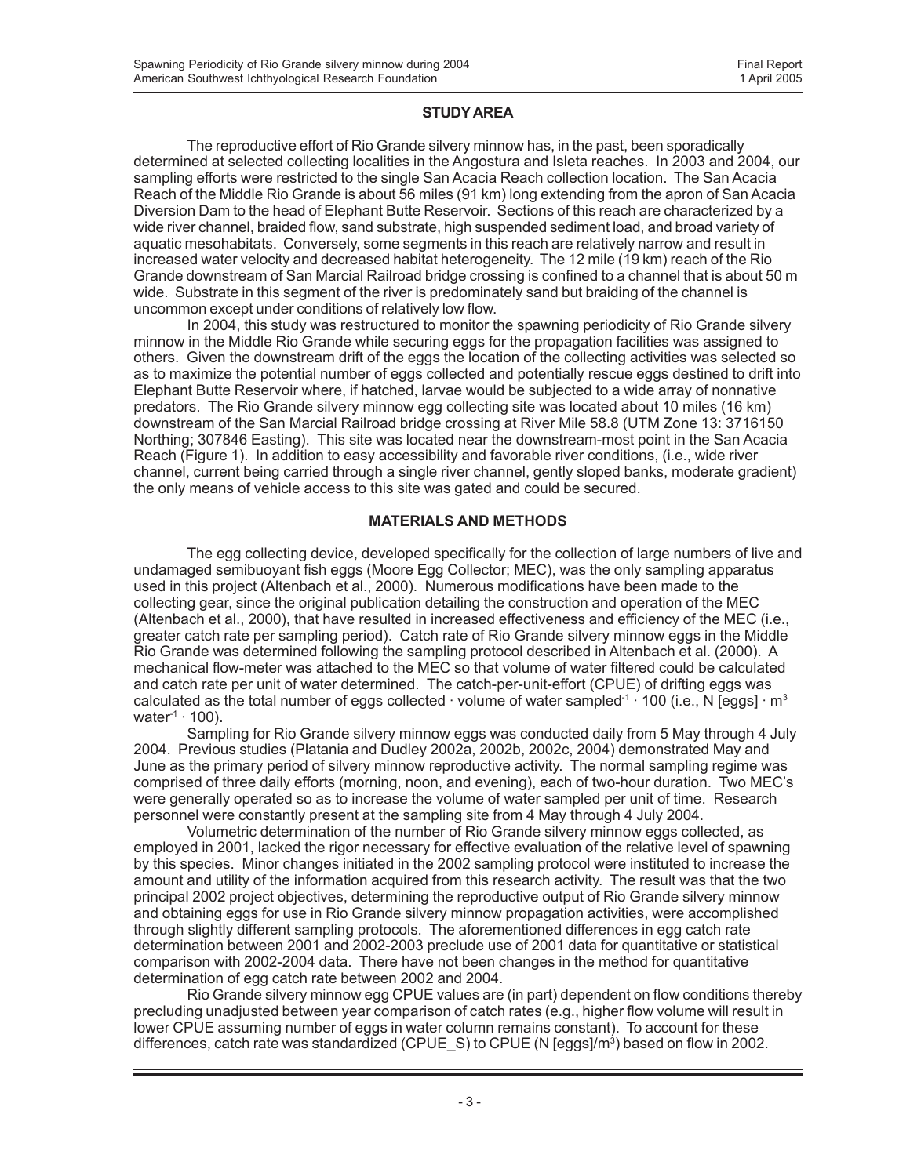#### **STUDY AREA**

The reproductive effort of Rio Grande silvery minnow has, in the past, been sporadically determined at selected collecting localities in the Angostura and Isleta reaches. In 2003 and 2004, our sampling efforts were restricted to the single San Acacia Reach collection location. The San Acacia Reach of the Middle Rio Grande is about 56 miles (91 km) long extending from the apron of San Acacia Diversion Dam to the head of Elephant Butte Reservoir. Sections of this reach are characterized by a wide river channel, braided flow, sand substrate, high suspended sediment load, and broad variety of aquatic mesohabitats. Conversely, some segments in this reach are relatively narrow and result in increased water velocity and decreased habitat heterogeneity. The 12 mile (19 km) reach of the Rio Grande downstream of San Marcial Railroad bridge crossing is confined to a channel that is about 50 m wide. Substrate in this segment of the river is predominately sand but braiding of the channel is uncommon except under conditions of relatively low flow.

In 2004, this study was restructured to monitor the spawning periodicity of Rio Grande silvery minnow in the Middle Rio Grande while securing eggs for the propagation facilities was assigned to others. Given the downstream drift of the eggs the location of the collecting activities was selected so as to maximize the potential number of eggs collected and potentially rescue eggs destined to drift into Elephant Butte Reservoir where, if hatched, larvae would be subjected to a wide array of nonnative predators. The Rio Grande silvery minnow egg collecting site was located about 10 miles (16 km) downstream of the San Marcial Railroad bridge crossing at River Mile 58.8 (UTM Zone 13: 3716150 Northing; 307846 Easting). This site was located near the downstream-most point in the San Acacia Reach (Figure 1). In addition to easy accessibility and favorable river conditions, (i.e., wide river channel, current being carried through a single river channel, gently sloped banks, moderate gradient) the only means of vehicle access to this site was gated and could be secured.

#### **MATERIALS AND METHODS**

The egg collecting device, developed specifically for the collection of large numbers of live and undamaged semibuoyant fish eggs (Moore Egg Collector; MEC), was the only sampling apparatus used in this project (Altenbach et al., 2000). Numerous modifications have been made to the collecting gear, since the original publication detailing the construction and operation of the MEC (Altenbach et al., 2000), that have resulted in increased effectiveness and efficiency of the MEC (i.e., greater catch rate per sampling period). Catch rate of Rio Grande silvery minnow eggs in the Middle Rio Grande was determined following the sampling protocol described in Altenbach et al. (2000). A mechanical flow-meter was attached to the MEC so that volume of water filtered could be calculated and catch rate per unit of water determined. The catch-per-unit-effort (CPUE) of drifting eggs was calculated as the total number of eggs collected  $\cdot$  volume of water sampled<sup>-1</sup>  $\cdot$  100 (i.e., N [eggs]  $\cdot$  m<sup>3</sup> water $1 \cdot 100$ ).

Sampling for Rio Grande silvery minnow eggs was conducted daily from 5 May through 4 July 2004. Previous studies (Platania and Dudley 2002a, 2002b, 2002c, 2004) demonstrated May and June as the primary period of silvery minnow reproductive activity. The normal sampling regime was comprised of three daily efforts (morning, noon, and evening), each of two-hour duration. Two MEC's were generally operated so as to increase the volume of water sampled per unit of time. Research personnel were constantly present at the sampling site from 4 May through 4 July 2004.

Volumetric determination of the number of Rio Grande silvery minnow eggs collected, as employed in 2001, lacked the rigor necessary for effective evaluation of the relative level of spawning by this species. Minor changes initiated in the 2002 sampling protocol were instituted to increase the amount and utility of the information acquired from this research activity. The result was that the two principal 2002 project objectives, determining the reproductive output of Rio Grande silvery minnow and obtaining eggs for use in Rio Grande silvery minnow propagation activities, were accomplished through slightly different sampling protocols. The aforementioned differences in egg catch rate determination between 2001 and 2002-2003 preclude use of 2001 data for quantitative or statistical comparison with 2002-2004 data. There have not been changes in the method for quantitative determination of egg catch rate between 2002 and 2004.

Rio Grande silvery minnow egg CPUE values are (in part) dependent on flow conditions thereby precluding unadjusted between year comparison of catch rates (e.g., higher flow volume will result in lower CPUE assuming number of eggs in water column remains constant). To account for these differences, catch rate was standardized (CPUE\_S) to CPUE (N [eggs]/m<sup>3</sup>) based on flow in 2002.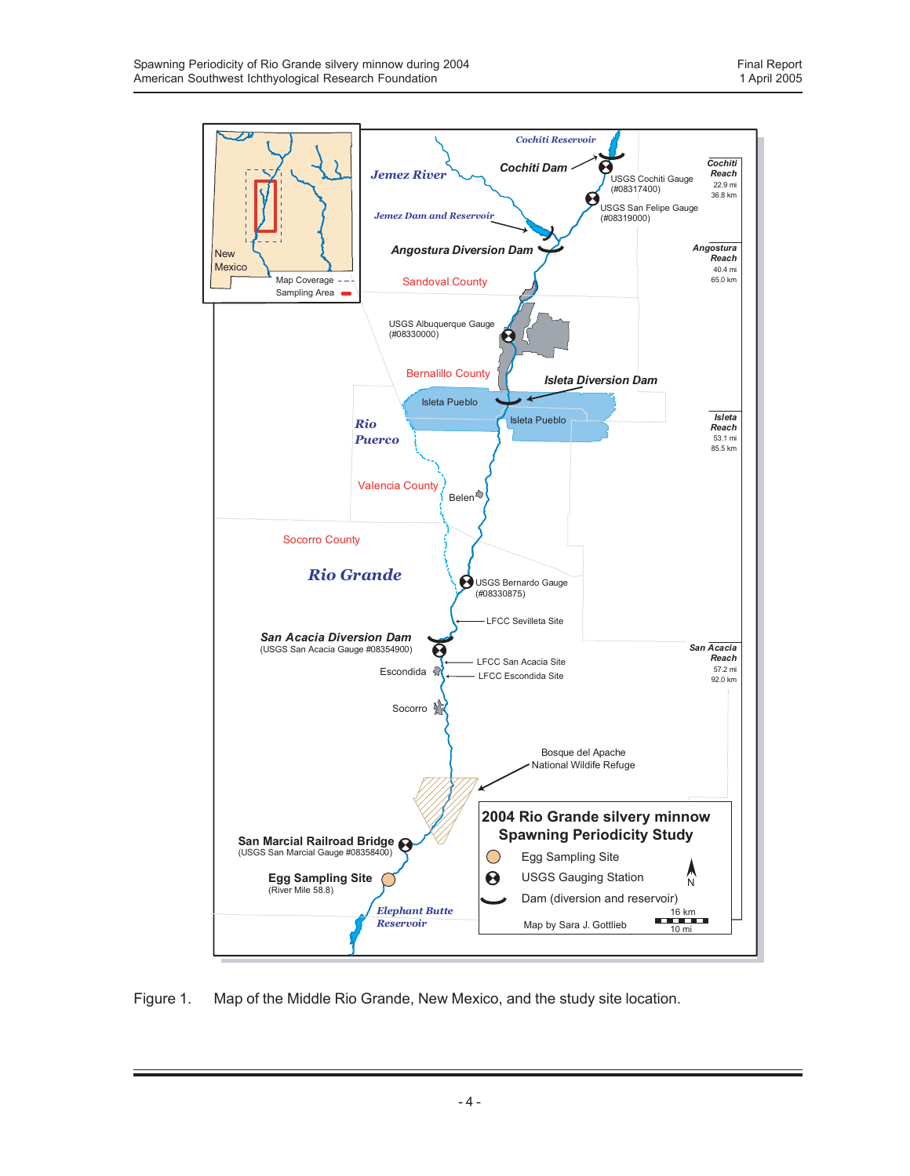

Figure 1. Map of the Middle Rio Grande, New Mexico, and the study site location.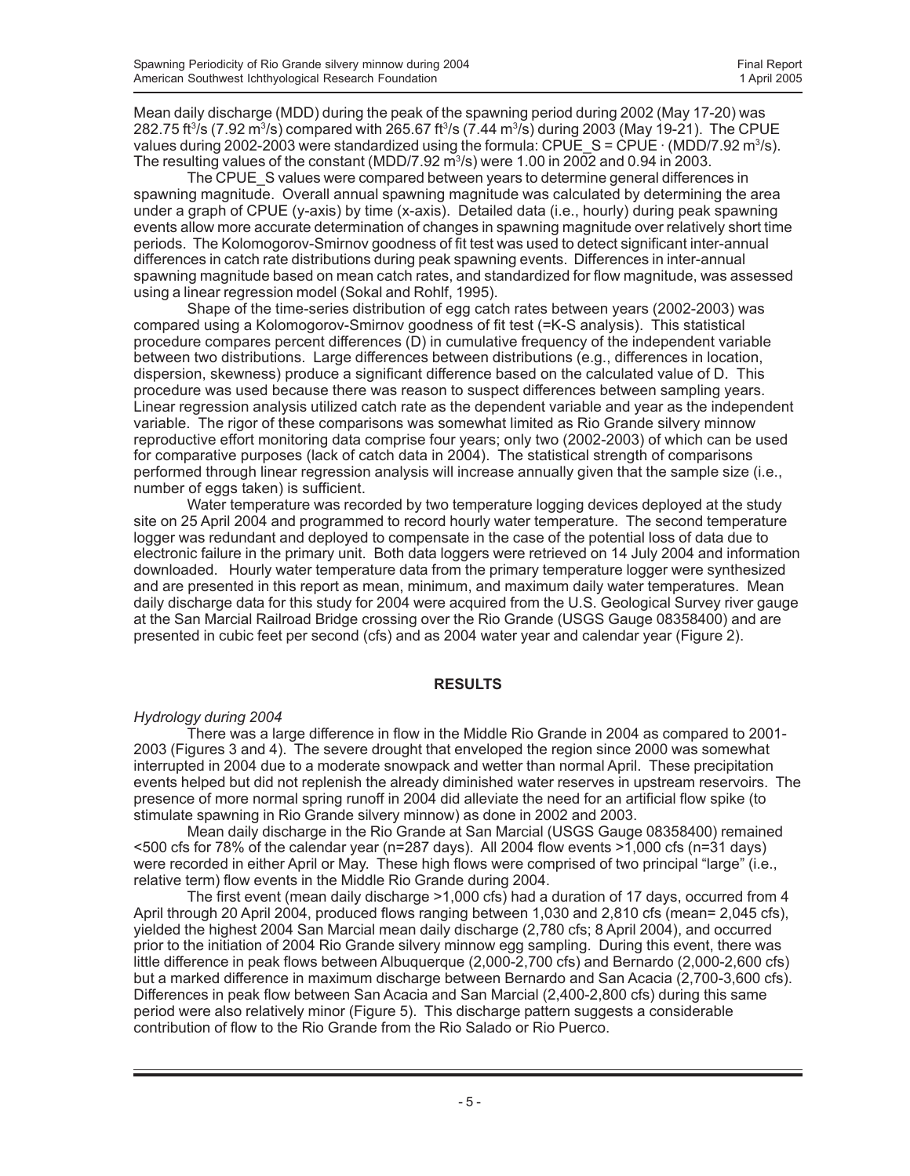Mean daily discharge (MDD) during the peak of the spawning period during 2002 (May 17-20) was 282.75 ft $^3$ /s (7.92 m $^3$ /s) compared with 265.67 ft $^3$ /s (7.44 m $^3$ /s) during 2003 (May 19-21). The CPUE values during 2002-2003 were standardized using the formula:  $\mathsf{CPUE}\_$ S =  $\mathsf{CPUE}\cdot$  (MDD/7.92 m $^3$ /s). The resulting values of the constant (MDD/7.92  $m<sup>3</sup>/s$ ) were 1.00 in 2002 and 0.94 in 2003.

The CPUE S values were compared between years to determine general differences in spawning magnitude. Overall annual spawning magnitude was calculated by determining the area under a graph of CPUE (y-axis) by time (x-axis). Detailed data (i.e., hourly) during peak spawning events allow more accurate determination of changes in spawning magnitude over relatively short time periods. The Kolomogorov-Smirnov goodness of fit test was used to detect significant inter-annual differences in catch rate distributions during peak spawning events. Differences in inter-annual spawning magnitude based on mean catch rates, and standardized for flow magnitude, was assessed using a linear regression model (Sokal and Rohlf, 1995).

Shape of the time-series distribution of egg catch rates between years (2002-2003) was compared using a Kolomogorov-Smirnov goodness of fit test (=K-S analysis). This statistical procedure compares percent differences (D) in cumulative frequency of the independent variable between two distributions. Large differences between distributions (e.g., differences in location, dispersion, skewness) produce a significant difference based on the calculated value of D. This procedure was used because there was reason to suspect differences between sampling years. Linear regression analysis utilized catch rate as the dependent variable and year as the independent variable. The rigor of these comparisons was somewhat limited as Rio Grande silvery minnow reproductive effort monitoring data comprise four years; only two (2002-2003) of which can be used for comparative purposes (lack of catch data in 2004). The statistical strength of comparisons performed through linear regression analysis will increase annually given that the sample size (i.e., number of eggs taken) is sufficient.

Water temperature was recorded by two temperature logging devices deployed at the study site on 25 April 2004 and programmed to record hourly water temperature. The second temperature logger was redundant and deployed to compensate in the case of the potential loss of data due to electronic failure in the primary unit. Both data loggers were retrieved on 14 July 2004 and information downloaded. Hourly water temperature data from the primary temperature logger were synthesized and are presented in this report as mean, minimum, and maximum daily water temperatures. Mean daily discharge data for this study for 2004 were acquired from the U.S. Geological Survey river gauge at the San Marcial Railroad Bridge crossing over the Rio Grande (USGS Gauge 08358400) and are presented in cubic feet per second (cfs) and as 2004 water year and calendar year (Figure 2).

### **RESULTS**

### *Hydrology during 2004*

There was a large difference in flow in the Middle Rio Grande in 2004 as compared to 2001- 2003 (Figures 3 and 4). The severe drought that enveloped the region since 2000 was somewhat interrupted in 2004 due to a moderate snowpack and wetter than normal April. These precipitation events helped but did not replenish the already diminished water reserves in upstream reservoirs. The presence of more normal spring runoff in 2004 did alleviate the need for an artificial flow spike (to stimulate spawning in Rio Grande silvery minnow) as done in 2002 and 2003.

Mean daily discharge in the Rio Grande at San Marcial (USGS Gauge 08358400) remained <500 cfs for 78% of the calendar year (n=287 days). All 2004 flow events >1,000 cfs (n=31 days) were recorded in either April or May. These high flows were comprised of two principal "large" (i.e., relative term) flow events in the Middle Rio Grande during 2004.

The first event (mean daily discharge >1,000 cfs) had a duration of 17 days, occurred from 4 April through 20 April 2004, produced flows ranging between 1,030 and 2,810 cfs (mean= 2,045 cfs), yielded the highest 2004 San Marcial mean daily discharge (2,780 cfs; 8 April 2004), and occurred prior to the initiation of 2004 Rio Grande silvery minnow egg sampling. During this event, there was little difference in peak flows between Albuquerque (2,000-2,700 cfs) and Bernardo (2,000-2,600 cfs) but a marked difference in maximum discharge between Bernardo and San Acacia (2,700-3,600 cfs). Differences in peak flow between San Acacia and San Marcial (2,400-2,800 cfs) during this same period were also relatively minor (Figure 5). This discharge pattern suggests a considerable contribution of flow to the Rio Grande from the Rio Salado or Rio Puerco.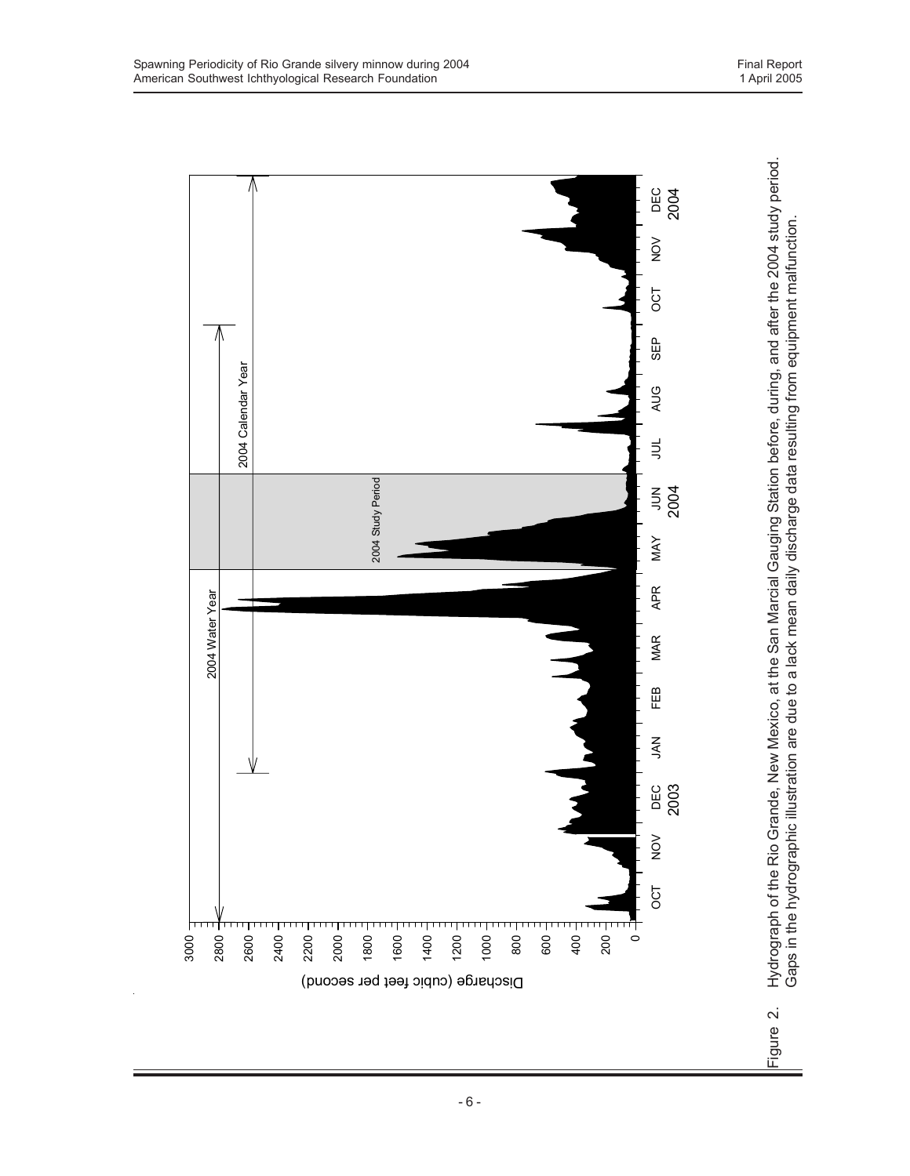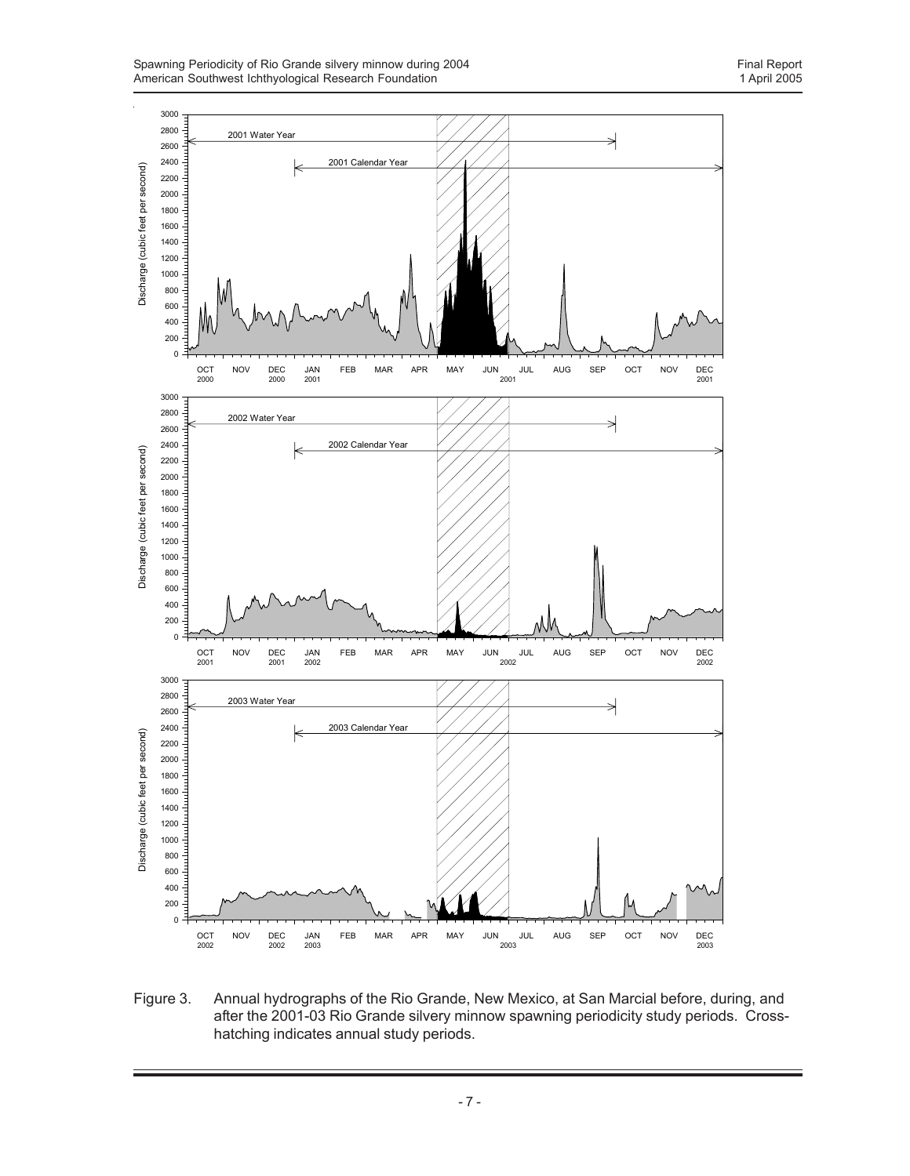

Figure 3. Annual hydrographs of the Rio Grande, New Mexico, at San Marcial before, during, and after the 2001-03 Rio Grande silvery minnow spawning periodicity study periods. Crosshatching indicates annual study periods.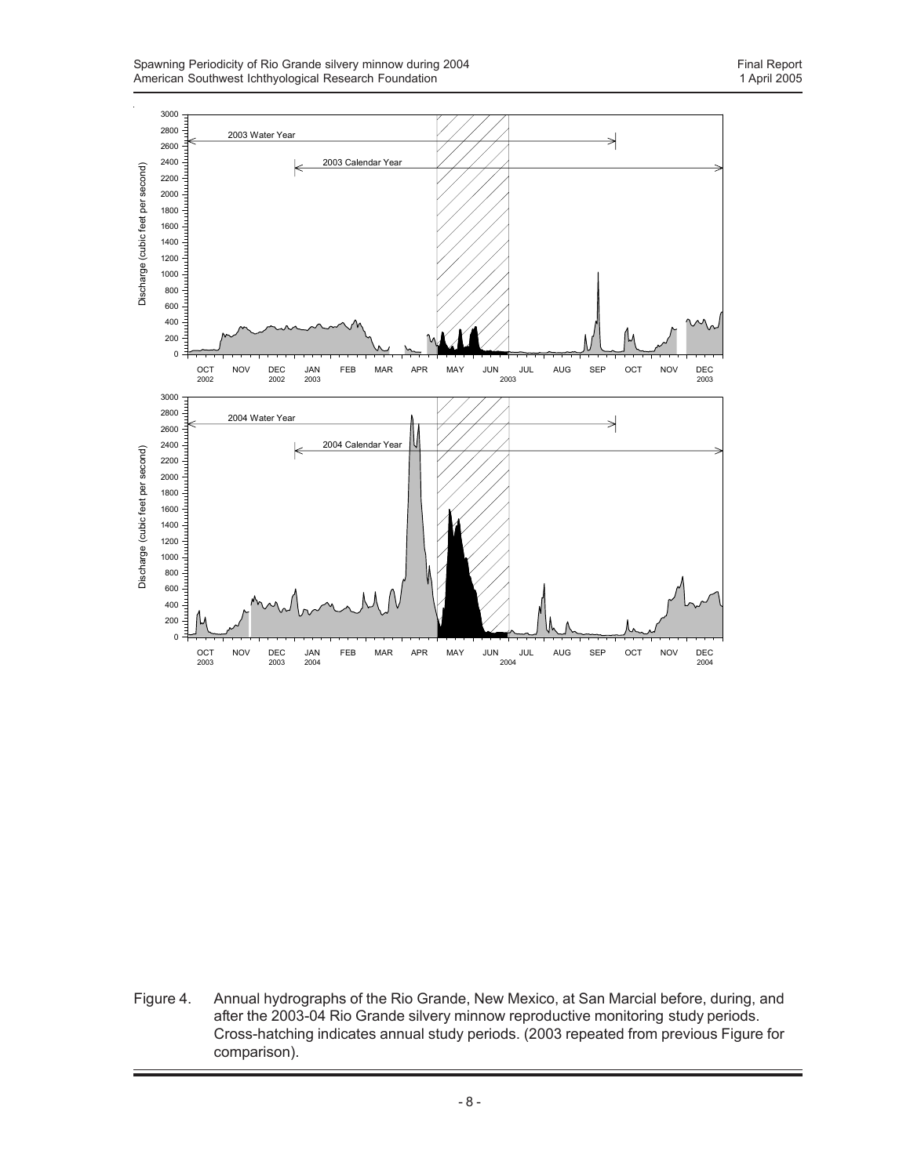

Figure 4. Annual hydrographs of the Rio Grande, New Mexico, at San Marcial before, during, and after the 2003-04 Rio Grande silvery minnow reproductive monitoring study periods. Cross-hatching indicates annual study periods. (2003 repeated from previous Figure for comparison).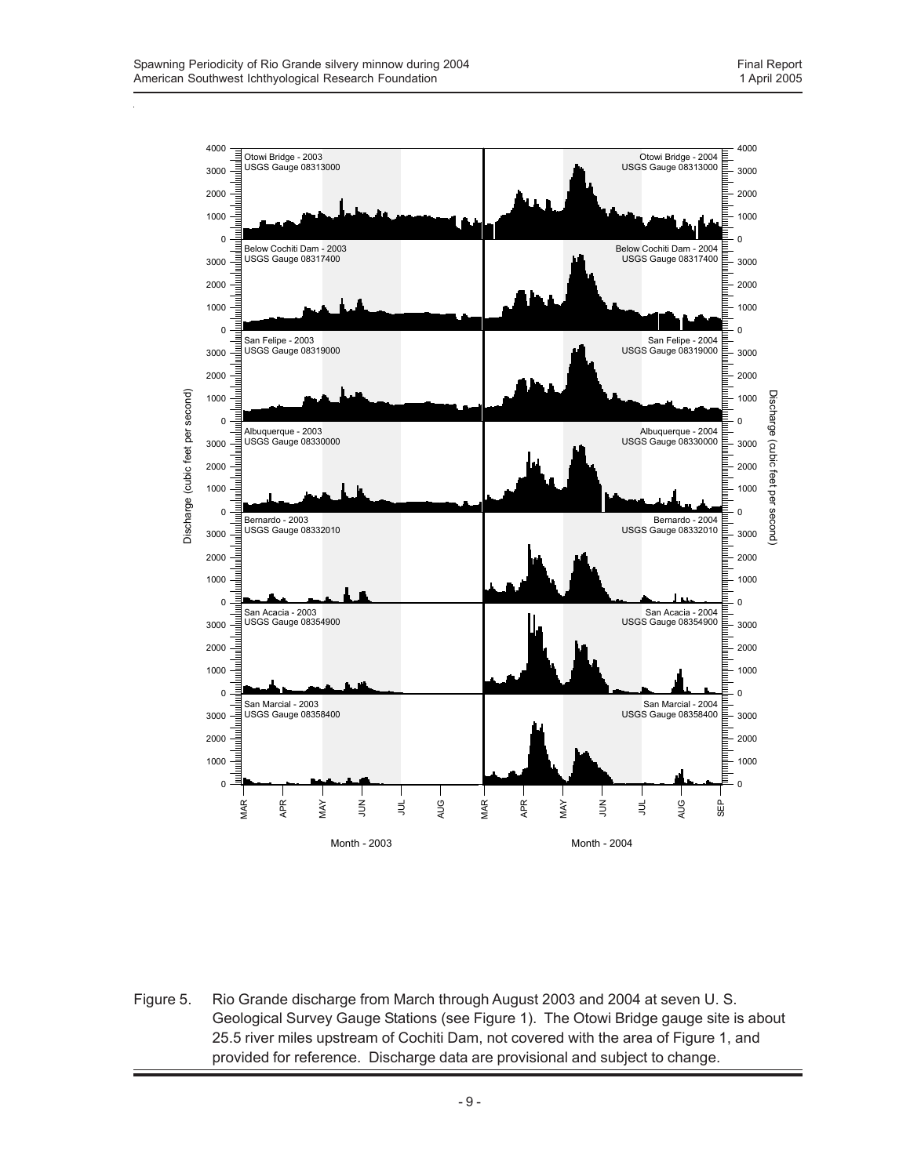

Figure 5. Rio Grande discharge from March through August 2003 and 2004 at seven U. S. Geological Survey Gauge Stations (see Figure 1). The Otowi Bridge gauge site is about 25.5 river miles upstream of Cochiti Dam, not covered with the area of Figure 1, and provided for reference. Discharge data are provisional and subject to change.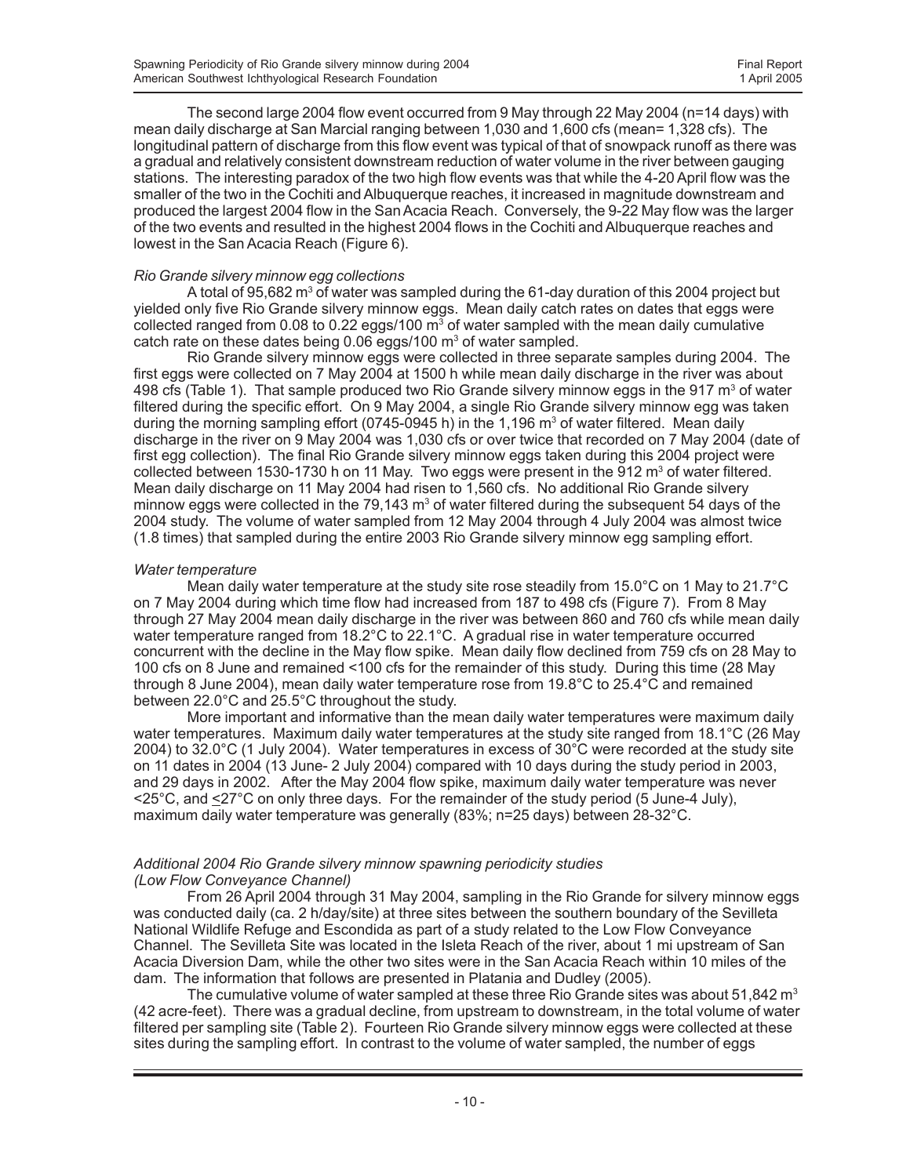The second large 2004 flow event occurred from 9 May through 22 May 2004 (n=14 days) with mean daily discharge at San Marcial ranging between 1,030 and 1,600 cfs (mean= 1,328 cfs). The longitudinal pattern of discharge from this flow event was typical of that of snowpack runoff as there was a gradual and relatively consistent downstream reduction of water volume in the river between gauging stations. The interesting paradox of the two high flow events was that while the 4-20 April flow was the smaller of the two in the Cochiti and Albuquerque reaches, it increased in magnitude downstream and produced the largest 2004 flow in the San Acacia Reach. Conversely, the 9-22 May flow was the larger of the two events and resulted in the highest 2004 flows in the Cochiti and Albuquerque reaches and lowest in the San Acacia Reach (Figure 6).

### *Rio Grande silvery minnow egg collections*

A total of 95,682  $\mathrm{m}^3$  of water was sampled during the 61-day duration of this 2004 project but yielded only five Rio Grande silvery minnow eggs. Mean daily catch rates on dates that eggs were collected ranged from 0.08 to 0.22 eggs/100  $\text{m}^3$  of water sampled with the mean daily cumulative catch rate on these dates being  $0.06$  eggs/100  $m<sup>3</sup>$  of water sampled.

Rio Grande silvery minnow eggs were collected in three separate samples during 2004. The first eggs were collected on 7 May 2004 at 1500 h while mean daily discharge in the river was about 498 cfs (Table 1). That sample produced two Rio Grande silvery minnow eggs in the 917  $\mathrm{m}^{\mathrm{3}}$  of water filtered during the specific effort. On 9 May 2004, a single Rio Grande silvery minnow egg was taken during the morning sampling effort (0745-0945 h) in the 1,196 m<sup>3</sup> of water filtered. Mean daily discharge in the river on 9 May 2004 was 1,030 cfs or over twice that recorded on 7 May 2004 (date of first egg collection). The final Rio Grande silvery minnow eggs taken during this 2004 project were collected between 1530-1730 h on 11 May. Two eggs were present in the 912  $\text{m}^3$  of water filtered. Mean daily discharge on 11 May 2004 had risen to 1,560 cfs. No additional Rio Grande silvery minnow eggs were collected in the 79,143  $\text{m}^3$  of water filtered during the subsequent 54 days of the 2004 study. The volume of water sampled from 12 May 2004 through 4 July 2004 was almost twice (1.8 times) that sampled during the entire 2003 Rio Grande silvery minnow egg sampling effort.

#### *Water temperature*

Mean daily water temperature at the study site rose steadily from 15.0°C on 1 May to 21.7°C on 7 May 2004 during which time flow had increased from 187 to 498 cfs (Figure 7). From 8 May through 27 May 2004 mean daily discharge in the river was between 860 and 760 cfs while mean daily water temperature ranged from 18.2°C to 22.1°C. A gradual rise in water temperature occurred concurrent with the decline in the May flow spike. Mean daily flow declined from 759 cfs on 28 May to 100 cfs on 8 June and remained <100 cfs for the remainder of this study. During this time (28 May through 8 June 2004), mean daily water temperature rose from 19.8°C to 25.4°C and remained between 22.0°C and 25.5°C throughout the study.

More important and informative than the mean daily water temperatures were maximum daily water temperatures. Maximum daily water temperatures at the study site ranged from 18.1°C (26 May 2004) to 32.0°C (1 July 2004). Water temperatures in excess of 30°C were recorded at the study site on 11 dates in 2004 (13 June- 2 July 2004) compared with 10 days during the study period in 2003, and 29 days in 2002. After the May 2004 flow spike, maximum daily water temperature was never <25°C, and <27°C on only three days. For the remainder of the study period (5 June-4 July), maximum daily water temperature was generally (83%; n=25 days) between 28-32°C.

#### *Additional 2004 Rio Grande silvery minnow spawning periodicity studies (Low Flow Conveyance Channel)*

From 26 April 2004 through 31 May 2004, sampling in the Rio Grande for silvery minnow eggs was conducted daily (ca. 2 h/day/site) at three sites between the southern boundary of the Sevilleta National Wildlife Refuge and Escondida as part of a study related to the Low Flow Conveyance Channel. The Sevilleta Site was located in the Isleta Reach of the river, about 1 mi upstream of San Acacia Diversion Dam, while the other two sites were in the San Acacia Reach within 10 miles of the dam. The information that follows are presented in Platania and Dudley (2005).

The cumulative volume of water sampled at these three Rio Grande sites was about 51,842  $m<sup>3</sup>$ (42 acre-feet). There was a gradual decline, from upstream to downstream, in the total volume of water filtered per sampling site (Table 2). Fourteen Rio Grande silvery minnow eggs were collected at these sites during the sampling effort. In contrast to the volume of water sampled, the number of eggs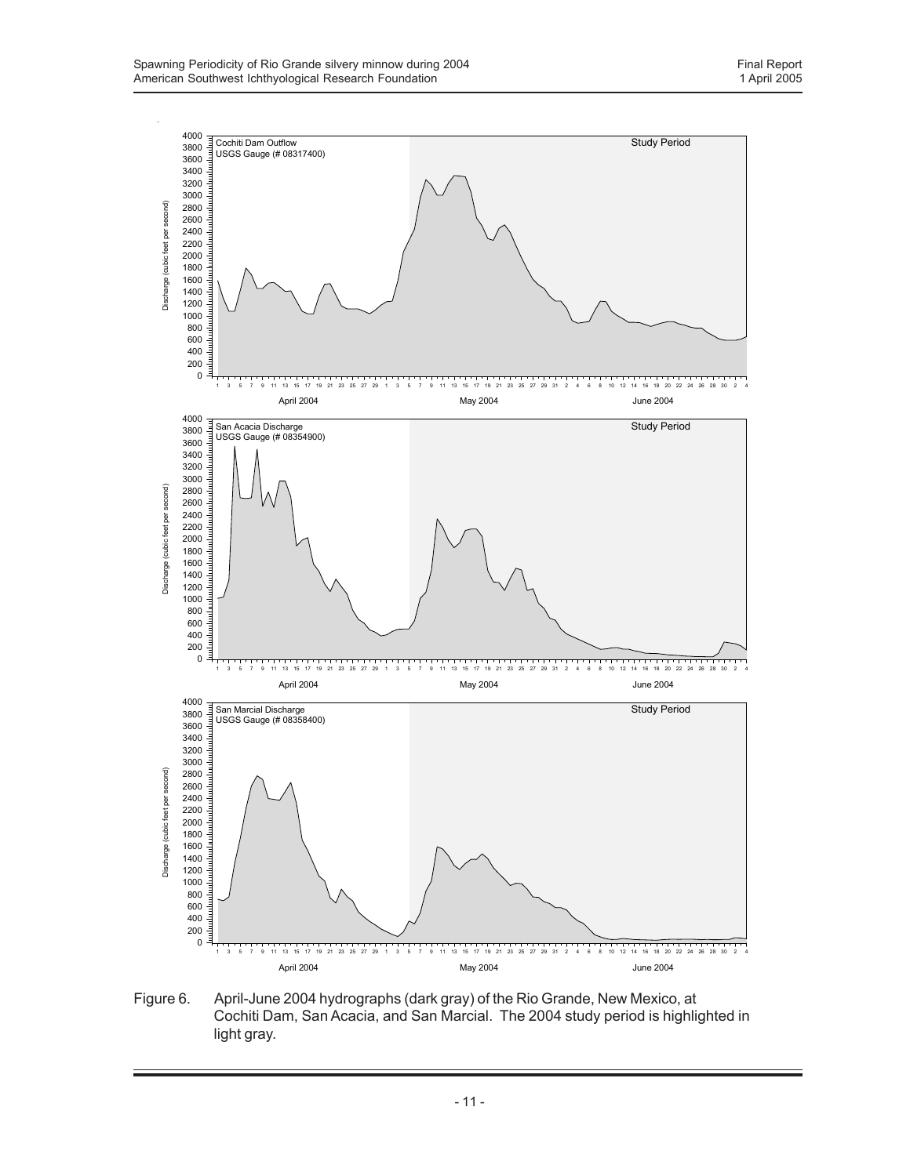

Figure 6. April-June 2004 hydrographs (dark gray) of the Rio Grande, New Mexico, at Cochiti Dam, San Acacia, and San Marcial. The 2004 study period is highlighted in light gray.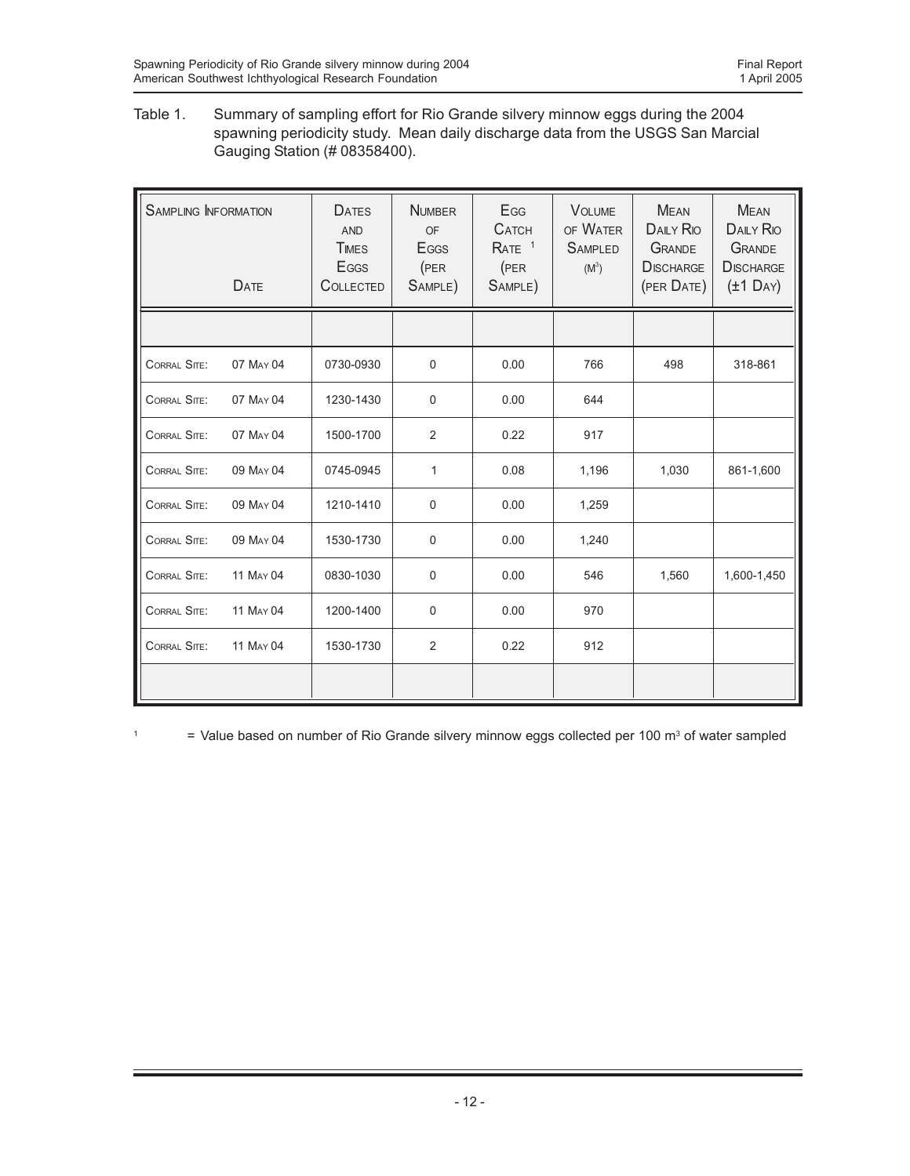Table 1. Summary of sampling effort for Rio Grande silvery minnow eggs during the 2004 spawning periodicity study. Mean daily discharge data from the USGS San Marcial Gauging Station (# 08358400).

| <b>SAMPLING INFORMATION</b><br>DATE | <b>DATES</b><br><b>AND</b><br><b>TIMES</b><br><b>E</b> GGS<br><b>COLLECTED</b> | <b>NUMBER</b><br>OF<br><b>E</b> GGS<br>(PER<br>SAMPLE) | EGG<br><b>CATCH</b><br>RATE <sup>1</sup><br>(PER<br>SAMPLE) | <b>VOLUME</b><br>OF WATER<br><b>SAMPLED</b><br>$(M^3)$ | <b>MEAN</b><br><b>DAILY RIO</b><br><b>GRANDE</b><br><b>DISCHARGE</b><br>(PER DATE) | <b>MEAN</b><br><b>DAILY RIO</b><br><b>GRANDE</b><br><b>DISCHARGE</b><br>$(\pm 1 \text{ Dav})$ |
|-------------------------------------|--------------------------------------------------------------------------------|--------------------------------------------------------|-------------------------------------------------------------|--------------------------------------------------------|------------------------------------------------------------------------------------|-----------------------------------------------------------------------------------------------|
|                                     |                                                                                |                                                        |                                                             |                                                        |                                                                                    |                                                                                               |
| CORRAL SITE:<br>07 MAY 04           | 0730-0930                                                                      | $\Omega$                                               | 0.00                                                        | 766                                                    | 498                                                                                | 318-861                                                                                       |
| CORRAL SITE:<br>07 MAY 04           | 1230-1430                                                                      | $\Omega$                                               | 0.00                                                        | 644                                                    |                                                                                    |                                                                                               |
| CORRAL SITE:<br>07 MAY 04           | 1500-1700                                                                      | 2                                                      | 0.22                                                        | 917                                                    |                                                                                    |                                                                                               |
| CORRAL SITE:<br>09 MAY 04           | 0745-0945                                                                      | 1                                                      | 0.08                                                        | 1,196                                                  | 1,030                                                                              | 861-1,600                                                                                     |
| CORRAL SITE:<br>09 MAY 04           | 1210-1410                                                                      | $\mathbf 0$                                            | 0.00                                                        | 1,259                                                  |                                                                                    |                                                                                               |
| CORRAL SITE:<br>09 MAY 04           | 1530-1730                                                                      | $\Omega$                                               | 0.00                                                        | 1,240                                                  |                                                                                    |                                                                                               |
| CORRAL SITE:<br>11 MAY 04           | 0830-1030                                                                      | $\mathbf 0$                                            | 0.00                                                        | 546                                                    | 1,560                                                                              | 1,600-1,450                                                                                   |
| CORRAL SITE:<br>11 MAY 04           | 1200-1400                                                                      | $\mathbf 0$                                            | 0.00                                                        | 970                                                    |                                                                                    |                                                                                               |
| CORRAL SITE:<br>11 MAY 04           | 1530-1730                                                                      | 2                                                      | 0.22                                                        | 912                                                    |                                                                                    |                                                                                               |
|                                     |                                                                                |                                                        |                                                             |                                                        |                                                                                    |                                                                                               |

<sup>1</sup>  $=$  Value based on number of Rio Grande silvery minnow eggs collected per 100 m<sup>3</sup> of water sampled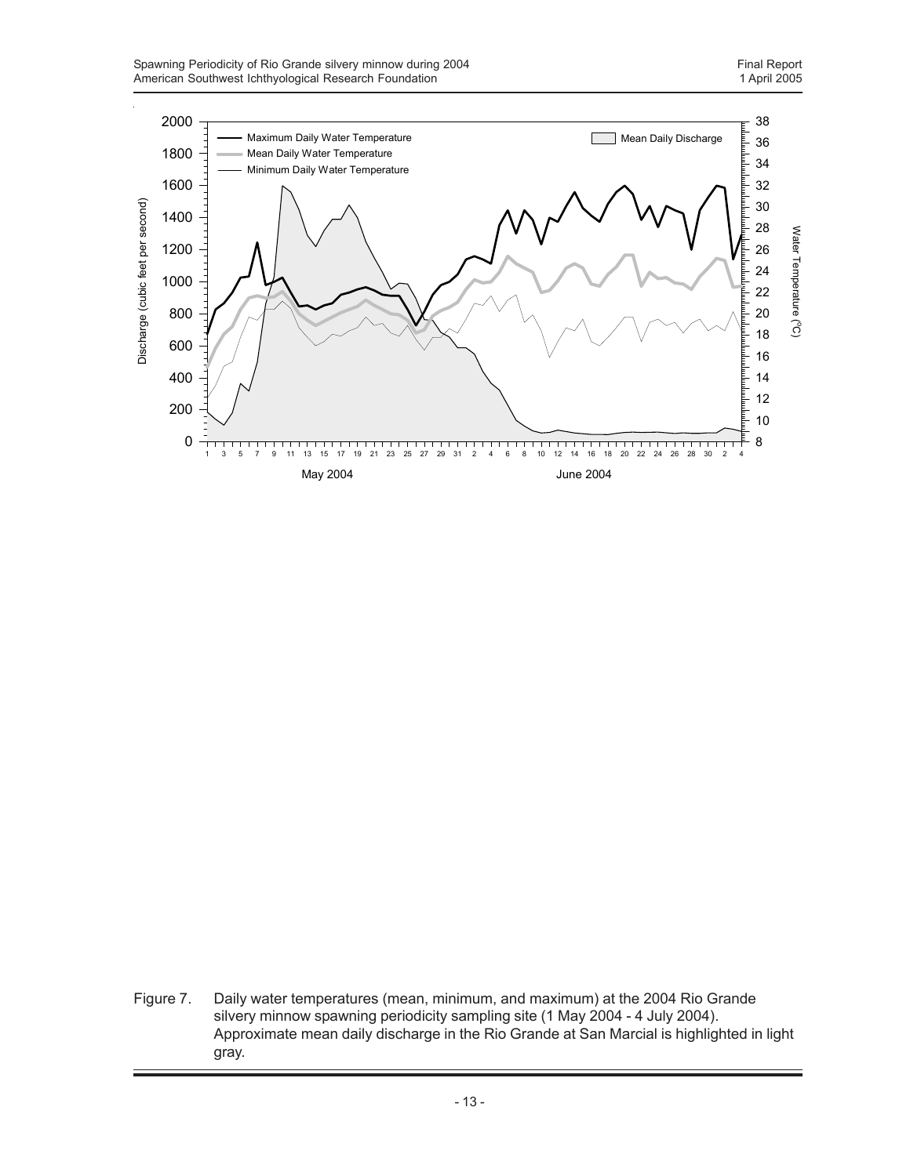

Figure 7. Daily water temperatures (mean, minimum, and maximum) at the 2004 Rio Grande silvery minnow spawning periodicity sampling site (1 May 2004 - 4 July 2004). Approximate mean daily discharge in the Rio Grande at San Marcial is highlighted in light gray.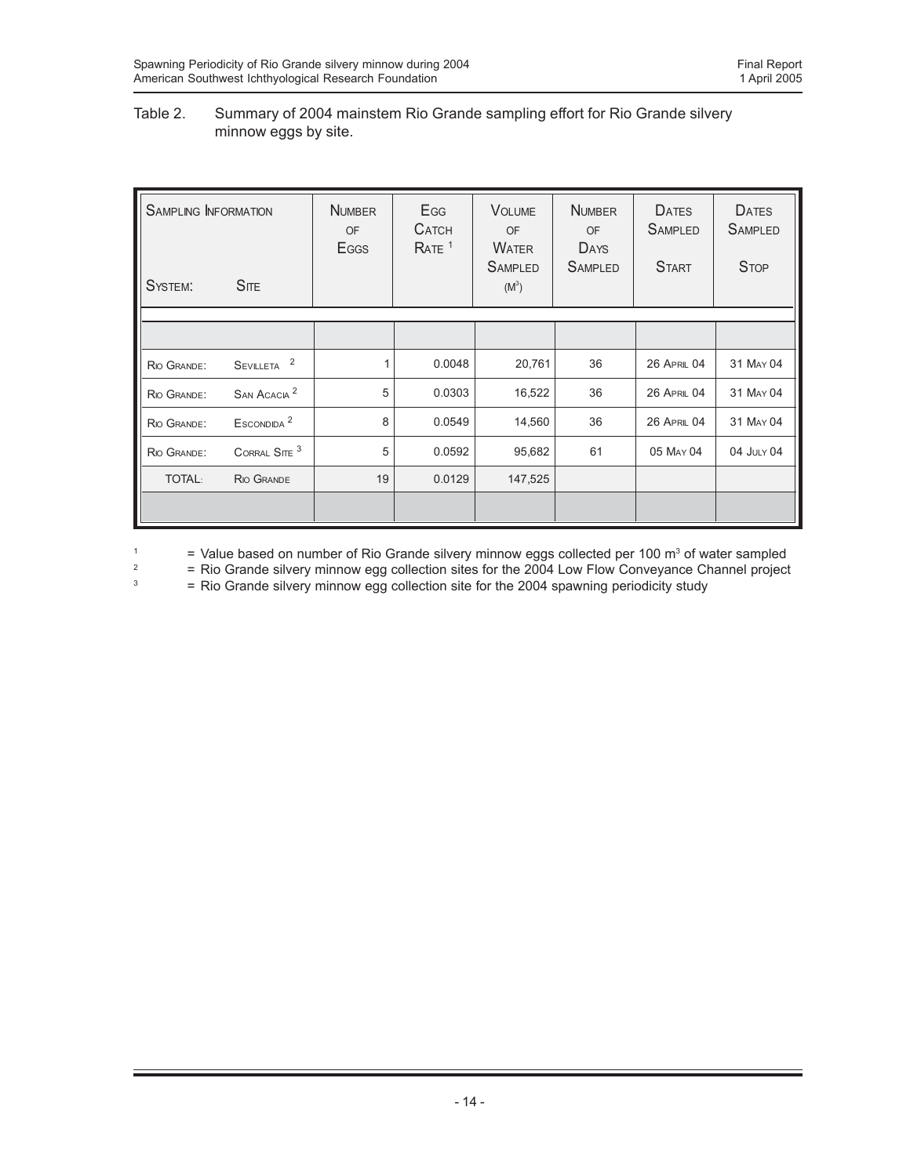## Table 2. Summary of 2004 mainstem Rio Grande sampling effort for Rio Grande silvery minnow eggs by site.

| <b>SAMPLING INFORMATION</b><br>$S$ ITE<br>SYSTEM: |                          | <b>NUMBER</b><br><b>OF</b><br>Eggs | EGG<br><b>CATCH</b><br>RATE <sup>1</sup> | <b>VOLUME</b><br><b>OF</b><br><b>WATER</b><br><b>SAMPLED</b><br>$(M^3)$ | <b>NUMBER</b><br><b>OF</b><br>DAYS<br><b>SAMPLED</b> | <b>DATES</b><br><b>SAMPLED</b><br><b>START</b> | <b>DATES</b><br><b>SAMPLED</b><br><b>STOP</b> |
|---------------------------------------------------|--------------------------|------------------------------------|------------------------------------------|-------------------------------------------------------------------------|------------------------------------------------------|------------------------------------------------|-----------------------------------------------|
|                                                   |                          |                                    |                                          |                                                                         |                                                      |                                                |                                               |
|                                                   |                          |                                    |                                          |                                                                         |                                                      |                                                |                                               |
| RIO GRANDE:                                       | 2<br><b>SEVILLETA</b>    | 1                                  | 0.0048                                   | 20,761                                                                  | 36                                                   | <b>26 APRIL 04</b>                             | 31 MAY 04                                     |
| RIO GRANDE:                                       | SAN ACACIA <sup>2</sup>  | 5                                  | 0.0303                                   | 16,522                                                                  | 36                                                   | <b>26 APRIL 04</b>                             | 31 MAY 04                                     |
| RIO GRANDE:                                       | ESCONDIDA <sup>2</sup>   | 8                                  | 0.0549                                   | 14,560                                                                  | 36                                                   | <b>26 APRIL 04</b>                             | 31 MAY 04                                     |
| RIO GRANDE:                                       | CORRAL SITE <sup>3</sup> | 5                                  | 0.0592                                   | 95,682                                                                  | 61                                                   | 05 MAY 04                                      | 04 JULY 04                                    |
| <b>TOTAL:</b>                                     | <b>RIO GRANDE</b>        | 19                                 | 0.0129                                   | 147,525                                                                 |                                                      |                                                |                                               |
|                                                   |                          |                                    |                                          |                                                                         |                                                      |                                                |                                               |

<sup>1</sup>  $=$  Value based on number of Rio Grande silvery minnow eggs collected per 100 m<sup>3</sup> of water sampled

<sup>2</sup> = Rio Grande silvery minnow egg collection sites for the 2004 Low Flow Conveyance Channel project<br>  $=$  Rio Grande silvery minnow egg collection site for the 2004 spawning periodicity study

= Rio Grande silvery minnow egg collection site for the 2004 spawning periodicity study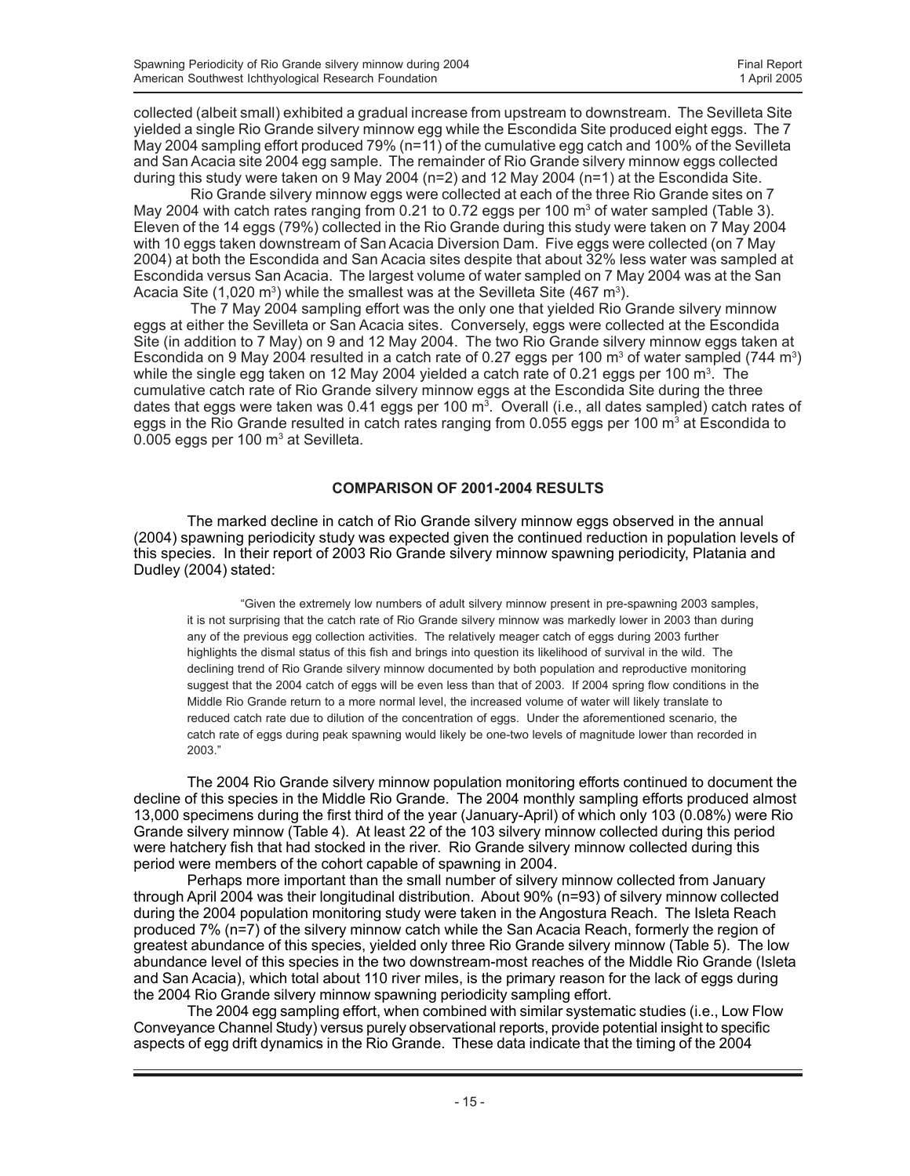collected (albeit small) exhibited a gradual increase from upstream to downstream. The Sevilleta Site yielded a single Rio Grande silvery minnow egg while the Escondida Site produced eight eggs. The 7 May 2004 sampling effort produced 79% (n=11) of the cumulative egg catch and 100% of the Sevilleta and San Acacia site 2004 egg sample. The remainder of Rio Grande silvery minnow eggs collected during this study were taken on 9 May 2004 (n=2) and 12 May 2004 (n=1) at the Escondida Site.

Rio Grande silvery minnow eggs were collected at each of the three Rio Grande sites on 7 May 2004 with catch rates ranging from 0.21 to 0.72 eggs per 100  $\text{m}^3$  of water sampled (Table 3). Eleven of the 14 eggs (79%) collected in the Rio Grande during this study were taken on 7 May 2004 with 10 eggs taken downstream of San Acacia Diversion Dam. Five eggs were collected (on 7 May 2004) at both the Escondida and San Acacia sites despite that about 32% less water was sampled at Escondida versus San Acacia. The largest volume of water sampled on 7 May 2004 was at the San Acacia Site (1,020 m<sup>3</sup>) while the smallest was at the Sevilleta Site (467 m<sup>3</sup>).

The 7 May 2004 sampling effort was the only one that yielded Rio Grande silvery minnow eggs at either the Sevilleta or San Acacia sites. Conversely, eggs were collected at the Escondida Site (in addition to 7 May) on 9 and 12 May 2004. The two Rio Grande silvery minnow eggs taken at Escondida on 9 May 2004 resulted in a catch rate of 0.27 eggs per 100  $\text{m}^3$  of water sampled (744  $\text{m}^3$ ) while the single egg taken on 12 May 2004 yielded a catch rate of 0.21 eggs per 100 m<sup>3</sup>. The cumulative catch rate of Rio Grande silvery minnow eggs at the Escondida Site during the three dates that eggs were taken was 0.41 eggs per 100 m<sup>3</sup>. Overall (i.e., all dates sampled) catch rates of eggs in the Rio Grande resulted in catch rates ranging from 0.055 eggs per 100 m<sup>3</sup> at Escondida to 0.005 eggs per 100 m $3$  at Sevilleta.

### **COMPARISON OF 2001-2004 RESULTS**

The marked decline in catch of Rio Grande silvery minnow eggs observed in the annual (2004) spawning periodicity study was expected given the continued reduction in population levels of this species. In their report of 2003 Rio Grande silvery minnow spawning periodicity, Platania and Dudley (2004) stated:

"Given the extremely low numbers of adult silvery minnow present in pre-spawning 2003 samples, it is not surprising that the catch rate of Rio Grande silvery minnow was markedly lower in 2003 than during any of the previous egg collection activities. The relatively meager catch of eggs during 2003 further highlights the dismal status of this fish and brings into question its likelihood of survival in the wild. The declining trend of Rio Grande silvery minnow documented by both population and reproductive monitoring suggest that the 2004 catch of eggs will be even less than that of 2003. If 2004 spring flow conditions in the Middle Rio Grande return to a more normal level, the increased volume of water will likely translate to reduced catch rate due to dilution of the concentration of eggs. Under the aforementioned scenario, the catch rate of eggs during peak spawning would likely be one-two levels of magnitude lower than recorded in 2003."

The 2004 Rio Grande silvery minnow population monitoring efforts continued to document the decline of this species in the Middle Rio Grande. The 2004 monthly sampling efforts produced almost 13,000 specimens during the first third of the year (January-April) of which only 103 (0.08%) were Rio Grande silvery minnow (Table 4). At least 22 of the 103 silvery minnow collected during this period were hatchery fish that had stocked in the river. Rio Grande silvery minnow collected during this period were members of the cohort capable of spawning in 2004.

Perhaps more important than the small number of silvery minnow collected from January through April 2004 was their longitudinal distribution. About 90% (n=93) of silvery minnow collected during the 2004 population monitoring study were taken in the Angostura Reach. The Isleta Reach produced 7% (n=7) of the silvery minnow catch while the San Acacia Reach, formerly the region of greatest abundance of this species, yielded only three Rio Grande silvery minnow (Table 5). The low abundance level of this species in the two downstream-most reaches of the Middle Rio Grande (Isleta and San Acacia), which total about 110 river miles, is the primary reason for the lack of eggs during the 2004 Rio Grande silvery minnow spawning periodicity sampling effort.

The 2004 egg sampling effort, when combined with similar systematic studies (i.e., Low Flow Conveyance Channel Study) versus purely observational reports, provide potential insight to specific aspects of egg drift dynamics in the Rio Grande. These data indicate that the timing of the 2004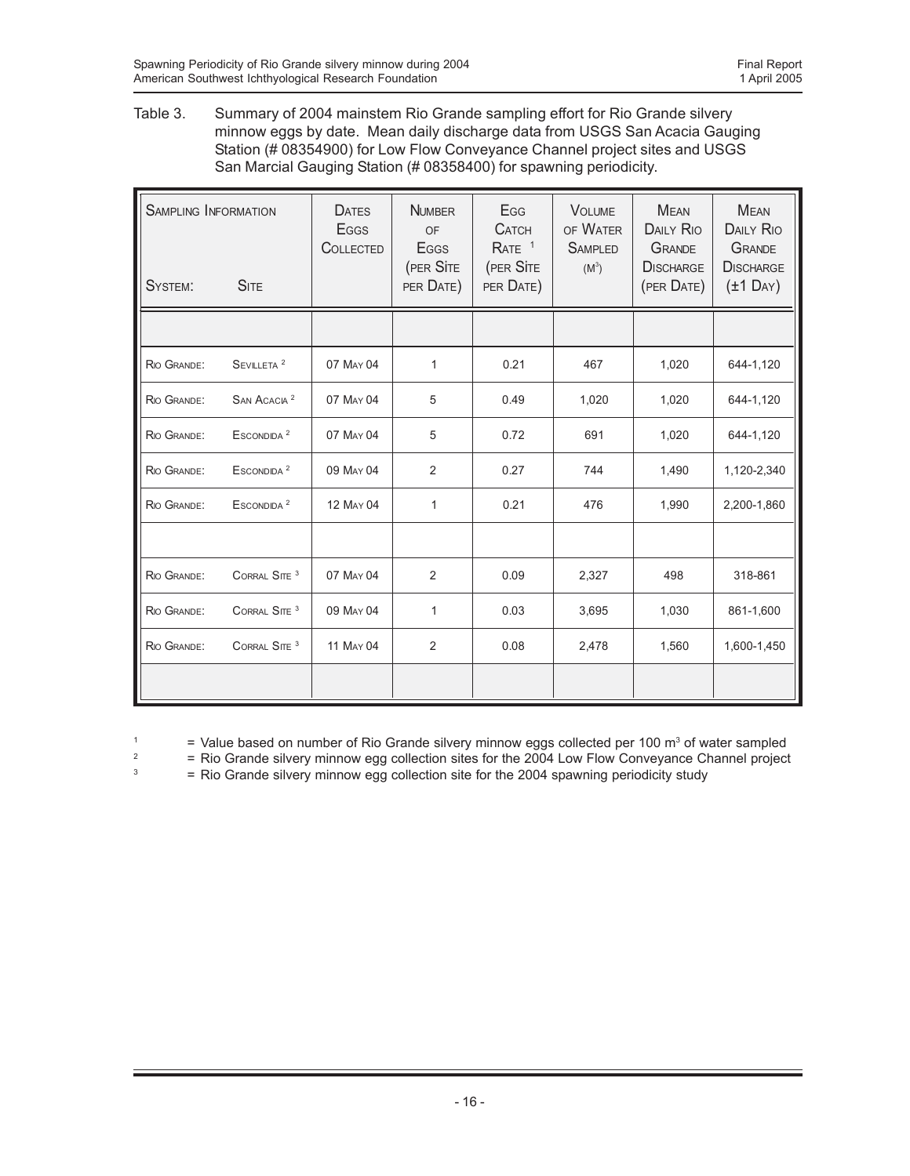Table 3. Summary of 2004 mainstem Rio Grande sampling effort for Rio Grande silvery minnow eggs by date. Mean daily discharge data from USGS San Acacia Gauging Station (# 08354900) for Low Flow Conveyance Channel project sites and USGS San Marcial Gauging Station (# 08358400) for spawning periodicity.

| SYSTEM:     | <b>SAMPLING INFORMATION</b><br><b>SITE</b> |           | <b>NUMBER</b><br>OF<br><b>E</b> GGS<br>(PER SITE<br>PER DATE) | Egg<br><b>CATCH</b><br>RATE <sup>1</sup><br>(PER SITE<br>PER DATE) | <b>VOLUME</b><br>OF WATER<br><b>SAMPLED</b><br>$(M^3)$ | <b>MFAN</b><br><b>DAILY RIO</b><br><b>GRANDE</b><br><b>DISCHARGE</b><br>(PER DATE) | <b>MEAN</b><br><b>DAILY RIO</b><br><b>GRANDE</b><br><b>DISCHARGE</b><br>$(\pm 1 \text{ Dav})$ |
|-------------|--------------------------------------------|-----------|---------------------------------------------------------------|--------------------------------------------------------------------|--------------------------------------------------------|------------------------------------------------------------------------------------|-----------------------------------------------------------------------------------------------|
|             |                                            |           |                                                               |                                                                    |                                                        |                                                                                    |                                                                                               |
| RIO GRANDE: | SEVILLETA <sup>2</sup>                     | 07 MAY 04 | 1                                                             | 0.21                                                               | 467                                                    | 1,020                                                                              | 644-1,120                                                                                     |
| RIO GRANDE: | SAN ACACIA <sup>2</sup>                    | 07 MAY 04 | 5                                                             | 0.49                                                               | 1,020                                                  | 1,020                                                                              | 644-1,120                                                                                     |
| RIO GRANDE: | ESCONDIDA <sup>2</sup>                     | 07 MAY 04 | 5                                                             | 0.72                                                               | 691                                                    | 1,020                                                                              | 644-1,120                                                                                     |
| RIO GRANDE: | ESCONDIDA <sup>2</sup>                     | 09 MAY 04 | $\overline{2}$                                                | 0.27                                                               | 744                                                    | 1,490                                                                              | 1,120-2,340                                                                                   |
| RIO GRANDE: | ESCONDIDA <sup>2</sup>                     | 12 MAY 04 | 1                                                             | 0.21                                                               | 476                                                    | 1,990                                                                              | 2,200-1,860                                                                                   |
|             |                                            |           |                                                               |                                                                    |                                                        |                                                                                    |                                                                                               |
| RIO GRANDE: | CORRAL SITE <sup>3</sup>                   | 07 MAY 04 | $\overline{2}$                                                | 0.09                                                               | 2,327                                                  | 498                                                                                | 318-861                                                                                       |
| RIO GRANDE: | CORRAL SITE <sup>3</sup>                   | 09 MAY 04 | 1                                                             | 0.03                                                               | 3,695                                                  | 1,030                                                                              | 861-1,600                                                                                     |
| RIO GRANDE: | CORRAL SITE <sup>3</sup>                   | 11 MAY 04 | 2                                                             | 0.08                                                               | 2,478                                                  | 1,560                                                                              | 1,600-1,450                                                                                   |
|             |                                            |           |                                                               |                                                                    |                                                        |                                                                                    |                                                                                               |

<sup>1</sup>  $=$  Value based on number of Rio Grande silvery minnow eggs collected per 100 m<sup>3</sup> of water sampled

<sup>2</sup> = Rio Grande silvery minnow egg collection sites for the 2004 Low Flow Conveyance Channel project<br><sup>3</sup> = Rio Grande silvery minnow egg collection site for the 2004 spawning periodicity study

= Rio Grande silvery minnow egg collection site for the 2004 spawning periodicity study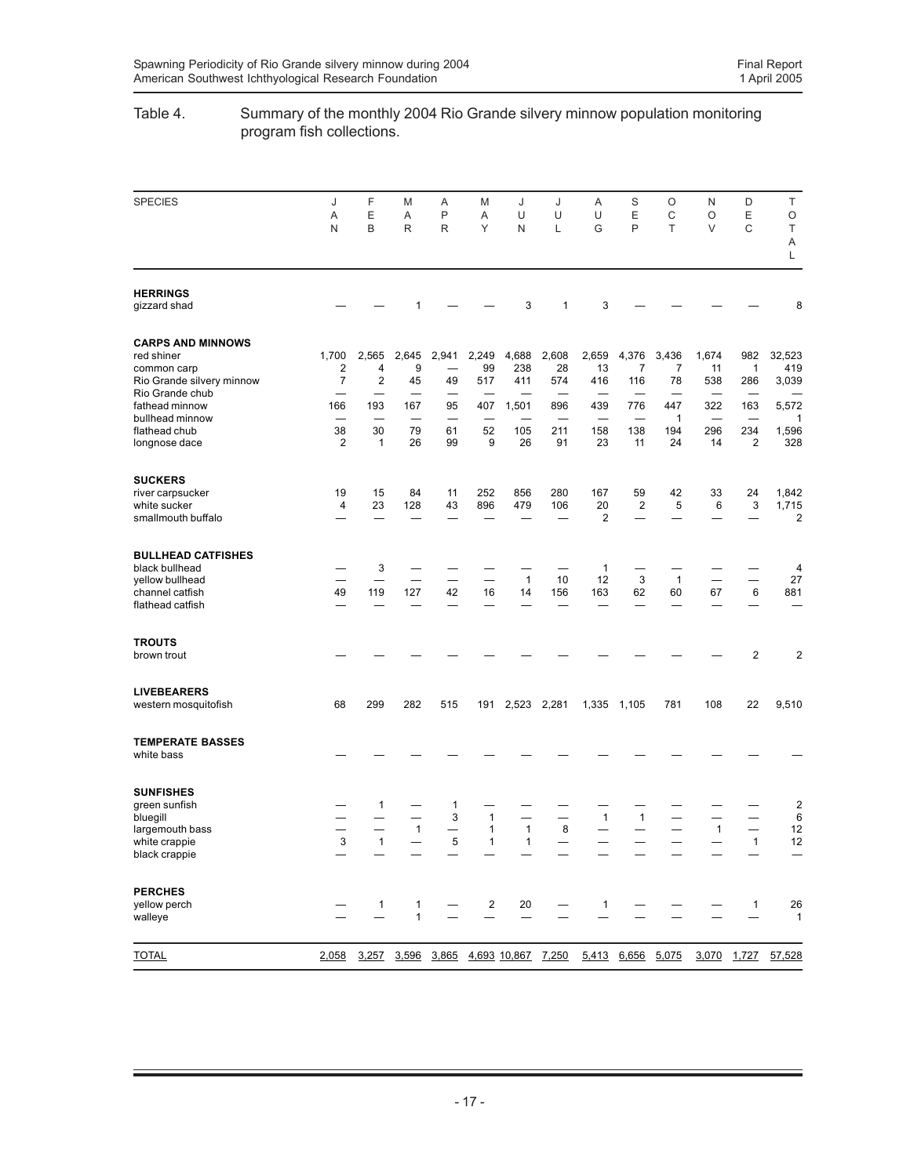## Table 4. Summary of the monthly 2004 Rio Grande silvery minnow population monitoring program fish collections.

| <b>SPECIES</b>                                                                                                          | J                      | F                                   | M                       | Α                                       | Μ                              | J                            | J                         | Α                           | S                        | O                                                   | N                         | D                      | Τ                                        |
|-------------------------------------------------------------------------------------------------------------------------|------------------------|-------------------------------------|-------------------------|-----------------------------------------|--------------------------------|------------------------------|---------------------------|-----------------------------|--------------------------|-----------------------------------------------------|---------------------------|------------------------|------------------------------------------|
|                                                                                                                         | Α<br>N                 | Ε<br>B                              | Α<br>R                  | P<br>$\mathsf R$                        | Α<br>Υ                         | U<br>N                       | U<br>Г                    | U<br>G                      | E<br>P                   | C<br>T                                              | O<br>V                    | Ε<br>$\mathsf C$       | O<br>T<br>Α<br>L                         |
| <b>HERRINGS</b><br>gizzard shad                                                                                         |                        |                                     | 1                       |                                         |                                | 3                            | $\mathbf{1}$              | 3                           |                          |                                                     |                           |                        | 8                                        |
| <b>CARPS AND MINNOWS</b><br>red shiner<br>common carp<br>Rio Grande silvery minnow<br>Rio Grande chub<br>fathead minnow | 1,700<br>2<br>7<br>166 | 2,565<br>4<br>$\overline{2}$<br>193 | 2,645<br>9<br>45<br>167 | 2,941<br>49<br>95                       | 2,249<br>99<br>517<br>407      | 4,688<br>238<br>411<br>1,501 | 2,608<br>28<br>574<br>896 | 2,659<br>13<br>416<br>439   | 4,376<br>7<br>116<br>776 | 3,436<br>7<br>78<br>$\overline{\phantom{0}}$<br>447 | 1,674<br>11<br>538<br>322 | 982<br>1<br>286<br>163 | 32,523<br>419<br>3,039<br>5,572          |
| bullhead minnow<br>flathead chub<br>longnose dace                                                                       | 38<br>2                | 30<br>1                             | 79<br>26                | 61<br>99                                | 52<br>9                        | 105<br>26                    | 211<br>91                 | 158<br>23                   | 138<br>11                | 1<br>194<br>24                                      | 296<br>14                 | 234<br>2               | 1<br>1,596<br>328                        |
| <b>SUCKERS</b><br>river carpsucker<br>white sucker<br>smallmouth buffalo                                                | 19<br>4                | 15<br>23                            | 84<br>128               | 11<br>43                                | 252<br>896                     | 856<br>479                   | 280<br>106                | 167<br>20<br>$\overline{2}$ | 59<br>$\overline{c}$     | 42<br>5                                             | 33<br>6                   | 24<br>3                | 1,842<br>1,715<br>$\overline{c}$         |
| <b>BULLHEAD CATFISHES</b><br>black bullhead<br>yellow bullhead<br>channel catfish<br>flathead catfish                   | 49                     | 3<br>119                            | 127                     | 42                                      | $\overline{\phantom{0}}$<br>16 | $\mathbf{1}$<br>14           | 10<br>156                 | $\mathbf{1}$<br>12<br>163   | 3<br>62                  | $\mathbf{1}$<br>60                                  | 67                        | 6                      | 4<br>27<br>881                           |
| <b>TROUTS</b><br>brown trout                                                                                            |                        |                                     |                         |                                         |                                |                              |                           |                             |                          |                                                     |                           | 2                      | $\overline{c}$                           |
| <b>LIVEBEARERS</b><br>western mosquitofish                                                                              | 68                     | 299                                 | 282                     | 515                                     | 191                            |                              | 2,523 2,281               |                             | 1,335 1,105              | 781                                                 | 108                       | 22                     | 9,510                                    |
| <b>TEMPERATE BASSES</b><br>white bass                                                                                   |                        |                                     |                         |                                         |                                |                              |                           |                             |                          |                                                     |                           |                        |                                          |
| <b>SUNFISHES</b><br>green sunfish<br>bluegill<br>largemouth bass<br>white crappie<br>black crappie                      | 3                      | 1<br>1                              | $\mathbf{1}$            | 1<br>3<br>$\overline{\phantom{0}}$<br>5 | $\mathbf{1}$<br>1<br>1         | 1<br>1                       | 8                         | $\mathbf{1}$                | $\mathbf{1}$             |                                                     | $\mathbf{1}$              | 1                      | $\overline{\mathbf{c}}$<br>6<br>12<br>12 |
| <b>PERCHES</b><br>yellow perch<br>walleye                                                                               |                        | $\mathbf{1}$                        | 1<br>1                  | —                                       | $\overline{c}$                 | 20                           | —                         | $\mathbf{1}$                |                          |                                                     |                           | $\mathbf{1}$           | 26<br>$\mathbf{1}$                       |
| <b>TOTAL</b>                                                                                                            | 2,058                  |                                     |                         | 3,257 3,596 3,865 4,693 10,867 7,250    |                                |                              |                           |                             | 5,413 6,656 5,075        |                                                     |                           |                        | 3,070 1,727 57,528                       |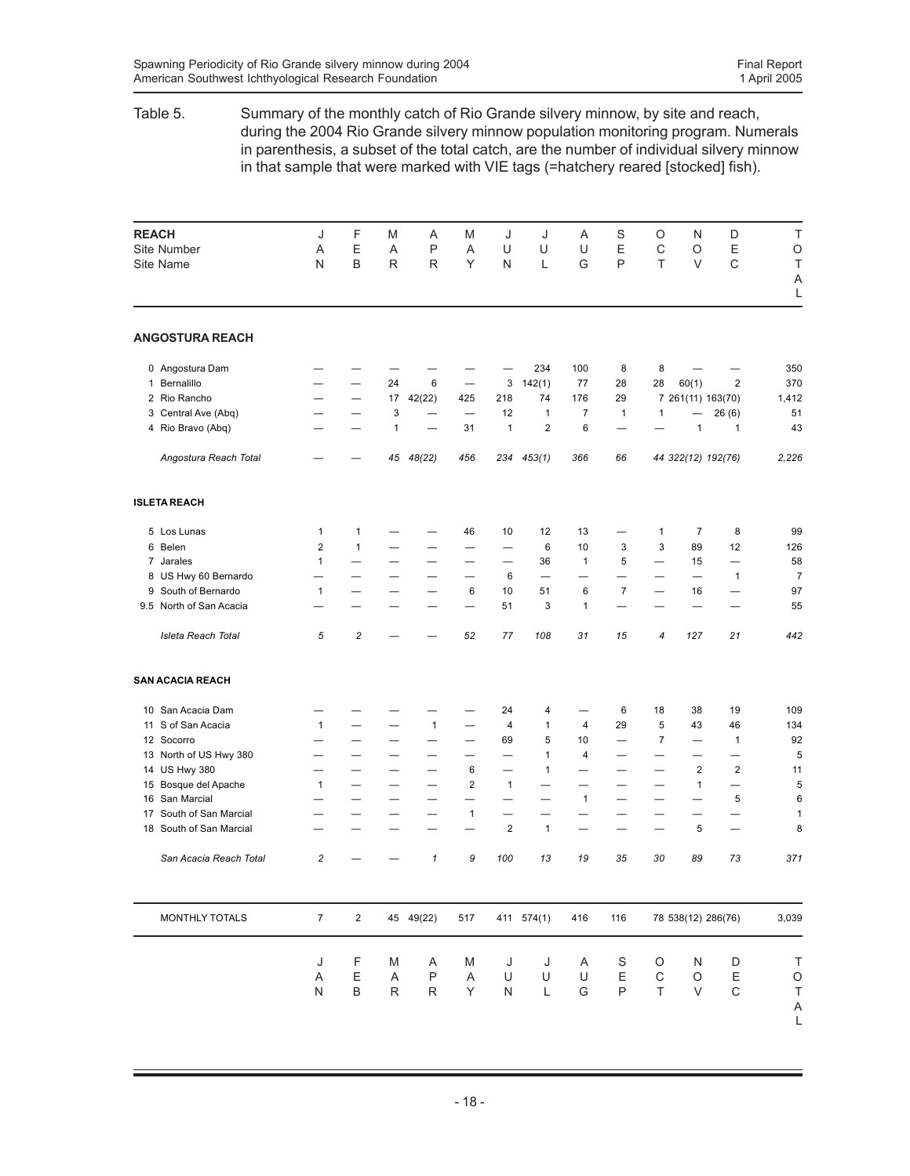## Table 5. Summary of the monthly catch of Rio Grande silvery minnow, by site and reach, during the 2004 Rio Grande silvery minnow population monitoring program. Numerals in parenthesis, a subset of the total catch, are the number of individual silvery minnow in that sample that were marked with VIE tags (=hatchery reared [stocked] fish).

| <b>REACH</b> |                         | J                       | F                        | M                        | Α                          | M                        | J                        | J                        | Α            | S                        | O                        | N                        | D                        | T              |
|--------------|-------------------------|-------------------------|--------------------------|--------------------------|----------------------------|--------------------------|--------------------------|--------------------------|--------------|--------------------------|--------------------------|--------------------------|--------------------------|----------------|
|              | Site Number             | A                       | E                        | A                        | P                          | A                        | U                        | U                        | U            | E                        | C                        | O                        | E                        | $\circ$        |
|              | Site Name               | N                       | B                        | $\mathsf{R}$             | R                          | Υ                        | N                        | L                        | G            | P                        | T                        | V                        | $\mathsf{C}$             | T<br>A         |
|              |                         |                         |                          |                          |                            |                          |                          |                          |              |                          |                          |                          |                          | L              |
|              | <b>ANGOSTURA REACH</b>  |                         |                          |                          |                            |                          |                          |                          |              |                          |                          |                          |                          |                |
|              | 0 Angostura Dam         |                         |                          |                          |                            |                          |                          | 234                      | 100          | 8                        | 8                        |                          |                          | 350            |
|              | 1 Bernalillo            |                         | $\overline{\phantom{0}}$ | 24                       | 6                          |                          | 3                        | 142(1)                   | 77           | 28                       | 28                       | 60(1)                    | $\overline{2}$           | 370            |
|              | 2 Rio Rancho            |                         | $\overline{\phantom{0}}$ | 17                       | 42(22)                     | 425                      | 218                      | 74                       | 176          | 29                       |                          | 7 261(11) 163(70)        |                          | 1,412          |
|              | 3 Central Ave (Abq)     |                         |                          | 3                        |                            |                          | 12                       | $\mathbf{1}$             | 7            | 1                        | 1                        |                          | 26(6)                    | 51             |
|              | 4 Rio Bravo (Abq)       |                         |                          | 1                        |                            | 31                       | $\mathbf{1}$             | $\overline{2}$           | 6            | —                        |                          | $\mathbf{1}$             | $\mathbf{1}$             | 43             |
|              | Angostura Reach Total   |                         |                          | 45                       | 48(22)                     | 456                      | 234                      | 453(1)                   | 366          | 66                       |                          | 44 322(12) 192(76)       |                          | 2,226          |
|              | <b>ISLETA REACH</b>     |                         |                          |                          |                            |                          |                          |                          |              |                          |                          |                          |                          |                |
|              | 5 Los Lunas             | 1                       | 1                        |                          |                            | 46                       | 10                       | 12                       | 13           |                          | 1                        | $\overline{7}$           | 8                        | 99             |
|              | 6 Belen                 | $\overline{\mathbf{c}}$ | $\mathbf{1}$             |                          |                            |                          | —                        | 6                        | 10           | 3                        | 3                        | 89                       | 12                       | 126            |
|              | 7 Jarales               | $\mathbf{1}$            |                          |                          | $\overline{\phantom{0}}$   | $\overline{\phantom{0}}$ | $\overline{\phantom{0}}$ | 36                       | 1            | 5                        | $\overline{\phantom{0}}$ | 15                       |                          | 58             |
|              | 8 US Hwy 60 Bernardo    |                         |                          |                          |                            | $\overline{\phantom{0}}$ | 6                        | $\overline{\phantom{0}}$ |              |                          |                          |                          | $\mathbf{1}$             | $\overline{7}$ |
|              | 9 South of Bernardo     | $\mathbf{1}$            |                          |                          |                            | $\boldsymbol{6}$         | 10                       | 51                       | 6            | $\overline{7}$           | $\overline{\phantom{0}}$ | 16                       |                          | 97             |
|              | 9.5 North of San Acacia |                         |                          |                          | —                          | $\overline{\phantom{0}}$ | 51                       | 3                        | 1            | —                        |                          | $\overline{\phantom{0}}$ |                          | 55             |
|              | Isleta Reach Total      | 5                       | $\boldsymbol{2}$         |                          |                            | 52                       | 77                       | 108                      | 31           | 15                       | 4                        | 127                      | 21                       | 442            |
|              | <b>SAN ACACIA REACH</b> |                         |                          |                          |                            |                          |                          |                          |              |                          |                          |                          |                          |                |
|              | 10 San Acacia Dam       |                         |                          |                          |                            |                          | 24                       | 4                        |              | 6                        | 18                       | 38                       | 19                       | 109            |
|              | 11 S of San Acacia      | $\mathbf{1}$            |                          |                          | $\mathbf{1}$               |                          | $\overline{4}$           | $\mathbf{1}$             | 4            | 29                       | 5                        | 43                       | 46                       | 134            |
|              | 12 Socorro              |                         |                          |                          |                            | $\overline{\phantom{0}}$ | 69                       | 5                        | 10           |                          | $\overline{7}$           |                          | $\mathbf{1}$             | 92             |
|              | 13 North of US Hwy 380  |                         |                          |                          |                            | $\overline{\phantom{0}}$ | —                        | $\mathbf{1}$             | 4            | —                        |                          |                          | —                        | 5              |
|              | 14 US Hwy 380           |                         |                          |                          | $\overline{\phantom{0}}$   | $\,6\,$                  | $\overline{\phantom{0}}$ | $\mathbf{1}$             |              | $\overline{\phantom{0}}$ |                          | $\overline{2}$           | $\overline{2}$           | 11             |
|              | 15 Bosque del Apache    | $\mathbf{1}$            | $\overline{\phantom{0}}$ | $\overline{\phantom{0}}$ |                            | $\overline{2}$           | $\mathbf{1}$             | $\overline{\phantom{0}}$ | —            | $\overline{\phantom{0}}$ | $\overline{\phantom{0}}$ | $\mathbf{1}$             | $\overline{\phantom{0}}$ | 5              |
| 16           | San Marcial             |                         |                          |                          | $\overline{\phantom{0}}$   | $\overline{\phantom{0}}$ | $\overline{\phantom{0}}$ | $\overline{\phantom{0}}$ | $\mathbf{1}$ | —                        | -                        | $\overline{\phantom{0}}$ | 5                        | 6              |
| 17           | South of San Marcial    |                         |                          |                          | $\overline{\phantom{0}}$   | $\mathbf{1}$             |                          | $\overline{\phantom{0}}$ |              | $\overline{\phantom{0}}$ |                          |                          | $\overline{\phantom{0}}$ | 1              |
|              | 18 South of San Marcial |                         |                          |                          |                            |                          | $\overline{2}$           | $\mathbf{1}$             |              |                          |                          | 5                        |                          | 8              |
|              | San Acacia Reach Total  | $\overline{c}$          |                          |                          | $\boldsymbol{\mathcal{I}}$ | 9                        | 100                      | 13                       | 19           | 35                       | 30                       | 89                       | 73                       | 371            |
|              | MONTHLY TOTALS          | $\overline{7}$          | $\overline{2}$           |                          | 45 49(22)                  | 517                      |                          | 411 574(1)               | 416          | 116                      |                          | 78 538(12) 286(76)       |                          | 3,039          |
|              |                         |                         |                          |                          |                            |                          |                          |                          |              |                          |                          |                          |                          |                |
|              |                         | J                       | F                        | M                        | Α                          | M                        | J                        | J                        | Α            | $\mathbf S$              | O                        | N                        | D                        | $\top$         |
|              |                         | A                       | E                        | A                        | $\sf P$                    | $\mathsf A$              | U                        | $\mathsf U$              | $\sf U$      | Ε                        | $\mathsf C$              | $\mathsf O$              | $\mathsf E$              | $\circ$        |
|              |                         | N                       | B                        | R                        | R                          | Υ                        | ${\sf N}$                | L                        | G            | P                        | T                        | V                        | $\mathsf C$              | $\top$         |
|              |                         |                         |                          |                          |                            |                          |                          |                          |              |                          |                          |                          |                          | A              |
|              |                         |                         |                          |                          |                            |                          |                          |                          |              |                          |                          |                          |                          | L              |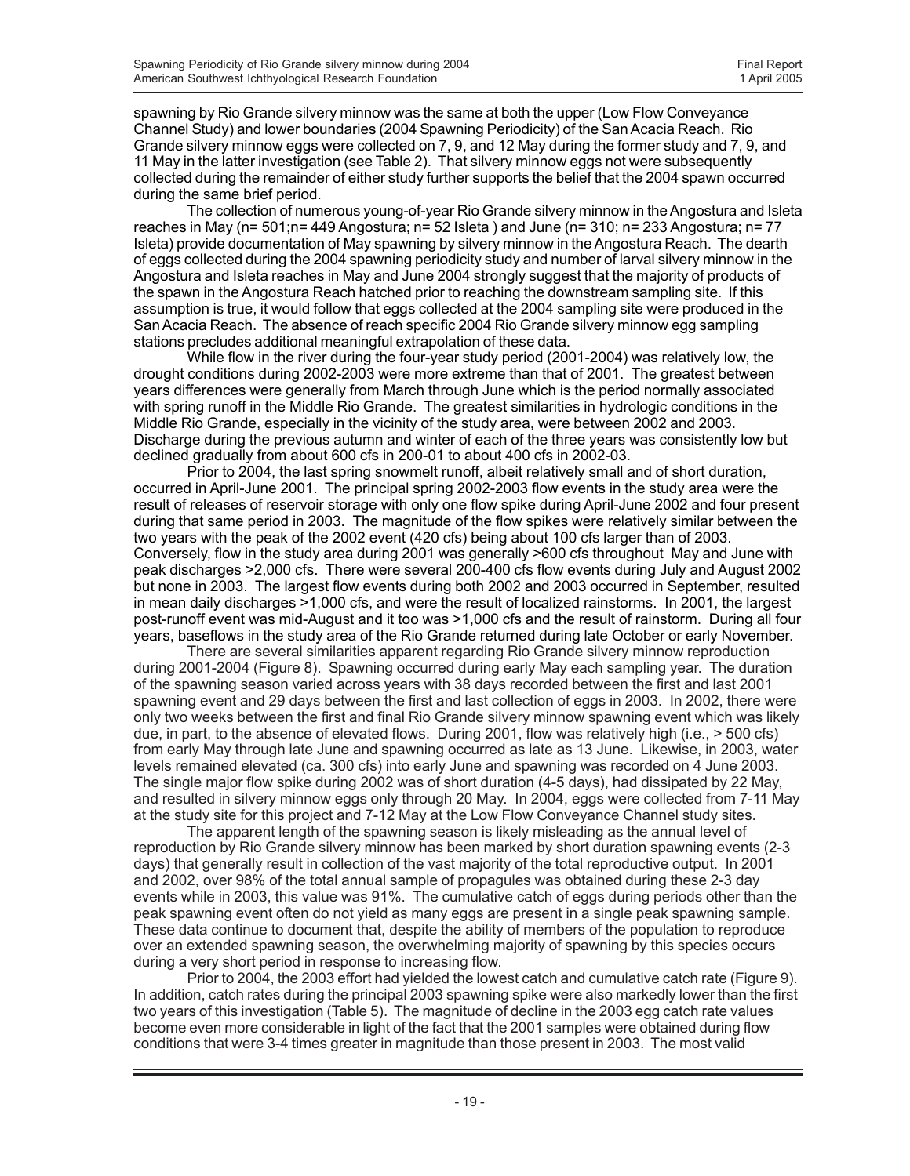spawning by Rio Grande silvery minnow was the same at both the upper (Low Flow Conveyance Channel Study) and lower boundaries (2004 Spawning Periodicity) of the San Acacia Reach. Rio Grande silvery minnow eggs were collected on 7, 9, and 12 May during the former study and 7, 9, and 11 May in the latter investigation (see Table 2). That silvery minnow eggs not were subsequently collected during the remainder of either study further supports the belief that the 2004 spawn occurred during the same brief period.

The collection of numerous young-of-year Rio Grande silvery minnow in the Angostura and Isleta reaches in May (n= 501;n= 449 Angostura; n= 52 Isleta ) and June (n= 310; n= 233 Angostura; n= 77 Isleta) provide documentation of May spawning by silvery minnow in the Angostura Reach. The dearth of eggs collected during the 2004 spawning periodicity study and number of larval silvery minnow in the Angostura and Isleta reaches in May and June 2004 strongly suggest that the majority of products of the spawn in the Angostura Reach hatched prior to reaching the downstream sampling site. If this assumption is true, it would follow that eggs collected at the 2004 sampling site were produced in the San Acacia Reach. The absence of reach specific 2004 Rio Grande silvery minnow egg sampling stations precludes additional meaningful extrapolation of these data.

While flow in the river during the four-year study period (2001-2004) was relatively low, the drought conditions during 2002-2003 were more extreme than that of 2001. The greatest between years differences were generally from March through June which is the period normally associated with spring runoff in the Middle Rio Grande. The greatest similarities in hydrologic conditions in the Middle Rio Grande, especially in the vicinity of the study area, were between 2002 and 2003. Discharge during the previous autumn and winter of each of the three years was consistently low but declined gradually from about 600 cfs in 200-01 to about 400 cfs in 2002-03.

Prior to 2004, the last spring snowmelt runoff, albeit relatively small and of short duration, occurred in April-June 2001. The principal spring 2002-2003 flow events in the study area were the result of releases of reservoir storage with only one flow spike during April-June 2002 and four present during that same period in 2003. The magnitude of the flow spikes were relatively similar between the two years with the peak of the 2002 event (420 cfs) being about 100 cfs larger than of 2003. Conversely, flow in the study area during 2001 was generally >600 cfs throughout May and June with peak discharges >2,000 cfs. There were several 200-400 cfs flow events during July and August 2002 but none in 2003. The largest flow events during both 2002 and 2003 occurred in September, resulted in mean daily discharges >1,000 cfs, and were the result of localized rainstorms. In 2001, the largest post-runoff event was mid-August and it too was >1,000 cfs and the result of rainstorm. During all four years, baseflows in the study area of the Rio Grande returned during late October or early November.

There are several similarities apparent regarding Rio Grande silvery minnow reproduction during 2001-2004 (Figure 8). Spawning occurred during early May each sampling year. The duration of the spawning season varied across years with 38 days recorded between the first and last 2001 spawning event and 29 days between the first and last collection of eggs in 2003. In 2002, there were only two weeks between the first and final Rio Grande silvery minnow spawning event which was likely due, in part, to the absence of elevated flows. During 2001, flow was relatively high (i.e., > 500 cfs) from early May through late June and spawning occurred as late as 13 June. Likewise, in 2003, water levels remained elevated (ca. 300 cfs) into early June and spawning was recorded on 4 June 2003. The single major flow spike during 2002 was of short duration (4-5 days), had dissipated by 22 May, and resulted in silvery minnow eggs only through 20 May. In 2004, eggs were collected from 7-11 May at the study site for this project and 7-12 May at the Low Flow Conveyance Channel study sites.

The apparent length of the spawning season is likely misleading as the annual level of reproduction by Rio Grande silvery minnow has been marked by short duration spawning events (2-3 days) that generally result in collection of the vast majority of the total reproductive output. In 2001 and 2002, over 98% of the total annual sample of propagules was obtained during these 2-3 day events while in 2003, this value was 91%. The cumulative catch of eggs during periods other than the peak spawning event often do not yield as many eggs are present in a single peak spawning sample. These data continue to document that, despite the ability of members of the population to reproduce over an extended spawning season, the overwhelming majority of spawning by this species occurs during a very short period in response to increasing flow.

Prior to 2004, the 2003 effort had yielded the lowest catch and cumulative catch rate (Figure 9). In addition, catch rates during the principal 2003 spawning spike were also markedly lower than the first two years of this investigation (Table 5). The magnitude of decline in the 2003 egg catch rate values become even more considerable in light of the fact that the 2001 samples were obtained during flow conditions that were 3-4 times greater in magnitude than those present in 2003. The most valid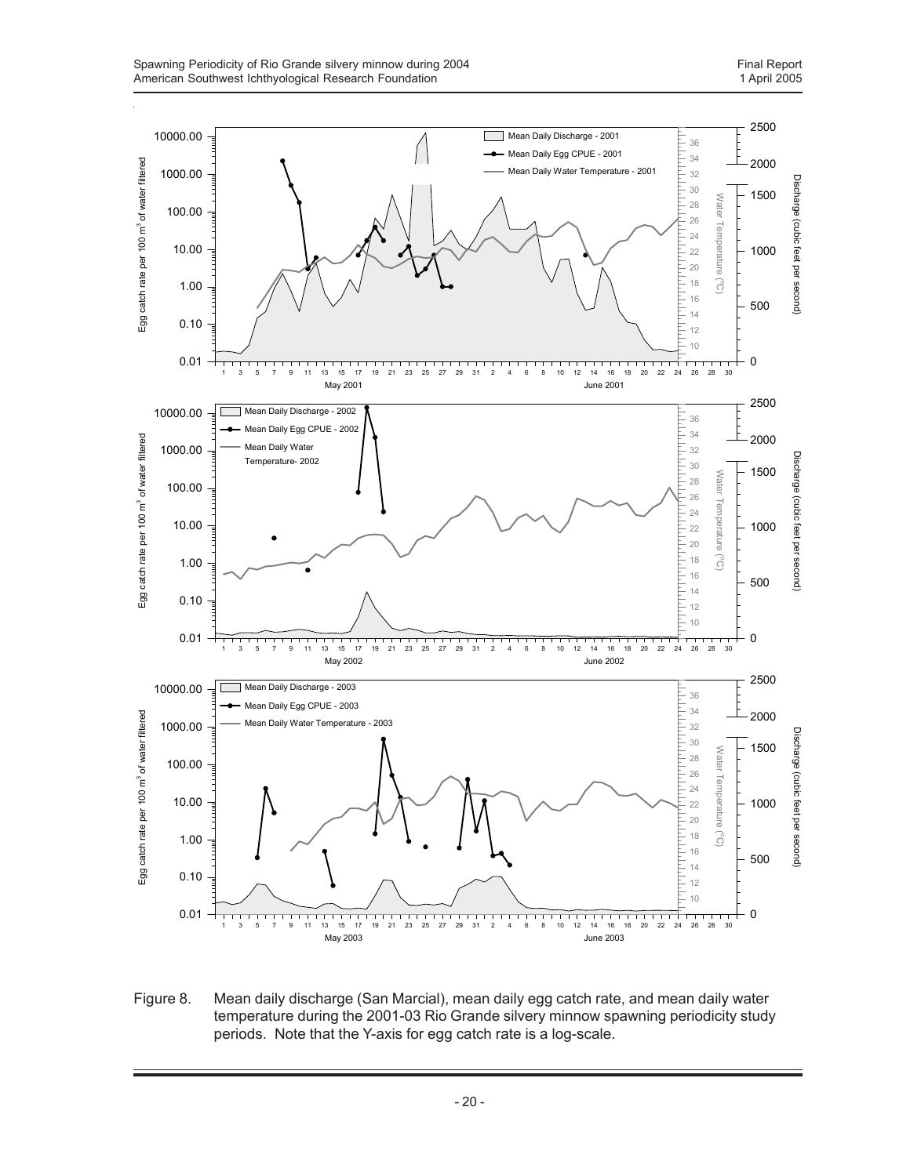

Figure 8. Mean daily discharge (San Marcial), mean daily egg catch rate, and mean daily water temperature during the 2001-03 Rio Grande silvery minnow spawning periodicity study periods. Note that the Y-axis for egg catch rate is a log-scale.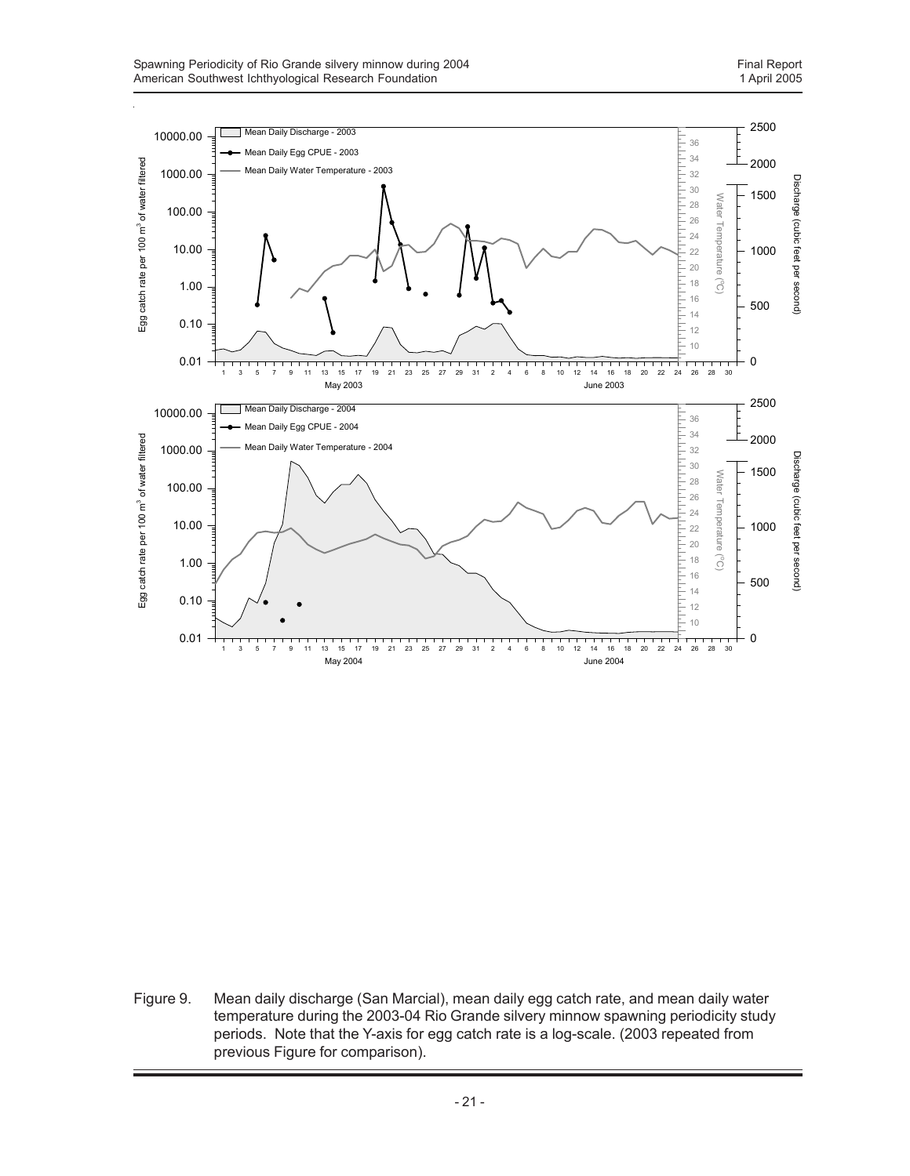

Figure 9. Mean daily discharge (San Marcial), mean daily egg catch rate, and mean daily water temperature during the 2003-04 Rio Grande silvery minnow spawning periodicity study periods. Note that the Y-axis for egg catch rate is a log-scale. (2003 repeated from previous Figure for comparison).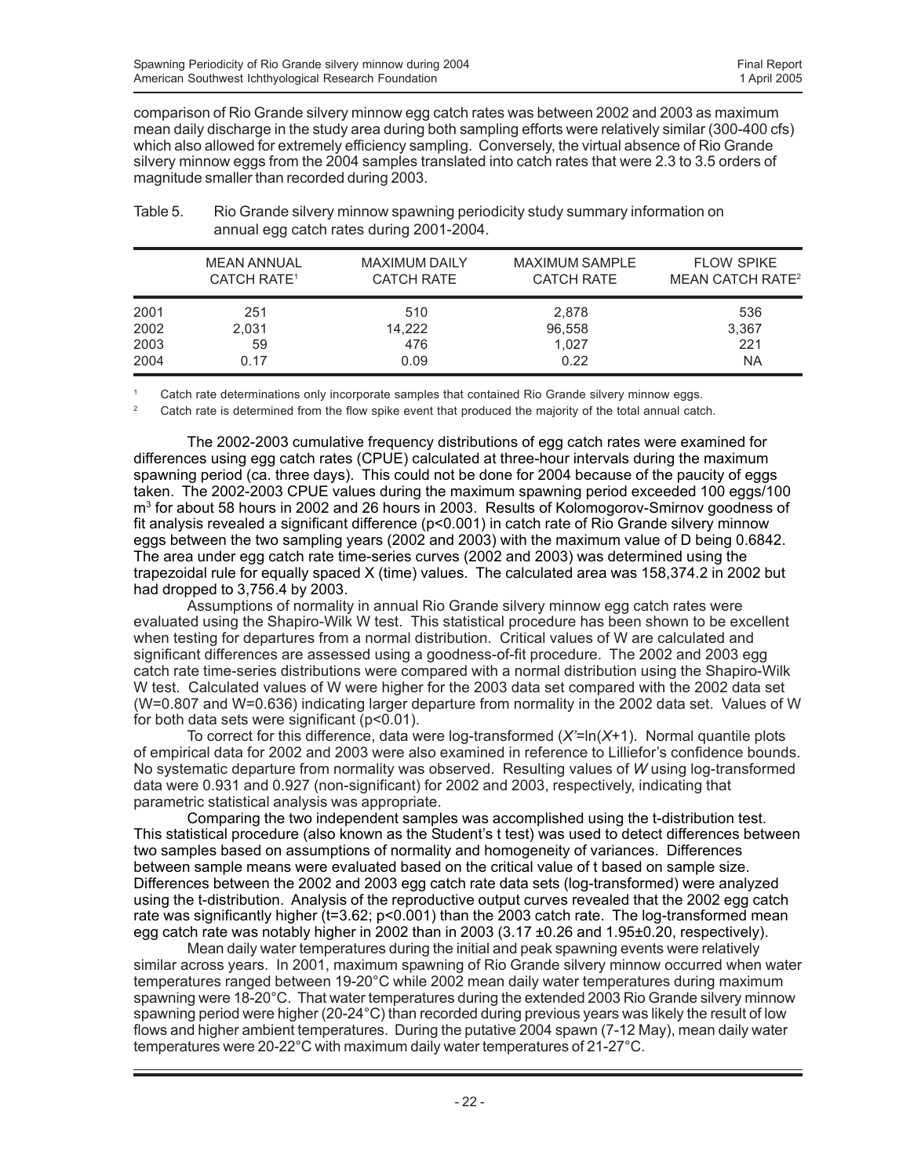comparison of Rio Grande silvery minnow egg catch rates was between 2002 and 2003 as maximum mean daily discharge in the study area during both sampling efforts were relatively similar (300-400 cfs) which also allowed for extremely efficiency sampling. Conversely, the virtual absence of Rio Grande silvery minnow eggs from the 2004 samples translated into catch rates that were 2.3 to 3.5 orders of magnitude smaller than recorded during 2003.

|      | <b>MEAN ANNUAL</b>            | <b>MAXIMUM DAILY</b> | <b>MAXIMUM SAMPLE</b> | <b>FLOW SPIKE</b>                  |
|------|-------------------------------|----------------------|-----------------------|------------------------------------|
|      | <b>CATCH RATE<sup>1</sup></b> | <b>CATCH RATE</b>    | <b>CATCH RATE</b>     | <b>MEAN CATCH RATE<sup>2</sup></b> |
| 2001 | 251                           | 510                  | 2,878                 | 536                                |
| 2002 | 2,031                         | 14,222               | 96,558                | 3,367                              |
| 2003 | 59                            | 476                  | 1.027                 | 221                                |
| 2004 | 0.17                          | 0.09                 | 0.22                  | <b>NA</b>                          |

Table 5. Rio Grande silvery minnow spawning periodicity study summary information on annual egg catch rates during 2001-2004.

Catch rate determinations only incorporate samples that contained Rio Grande silvery minnow eggs.

<sup>2</sup> Catch rate is determined from the flow spike event that produced the majority of the total annual catch.

The 2002-2003 cumulative frequency distributions of egg catch rates were examined for differences using egg catch rates (CPUE) calculated at three-hour intervals during the maximum spawning period (ca. three days). This could not be done for 2004 because of the paucity of eggs taken. The 2002-2003 CPUE values during the maximum spawning period exceeded 100 eggs/100 m<sup>3</sup> for about 58 hours in 2002 and 26 hours in 2003. Results of Kolomogorov-Smirnov goodness of fit analysis revealed a significant difference (p<0.001) in catch rate of Rio Grande silvery minnow eggs between the two sampling years (2002 and 2003) with the maximum value of D being 0.6842. The area under egg catch rate time-series curves (2002 and 2003) was determined using the trapezoidal rule for equally spaced X (time) values. The calculated area was 158,374.2 in 2002 but had dropped to 3,756.4 by 2003.

Assumptions of normality in annual Rio Grande silvery minnow egg catch rates were evaluated using the Shapiro-Wilk W test. This statistical procedure has been shown to be excellent when testing for departures from a normal distribution. Critical values of W are calculated and significant differences are assessed using a goodness-of-fit procedure. The 2002 and 2003 egg catch rate time-series distributions were compared with a normal distribution using the Shapiro-Wilk W test. Calculated values of W were higher for the 2003 data set compared with the 2002 data set (W=0.807 and W=0.636) indicating larger departure from normality in the 2002 data set. Values of W for both data sets were significant (p<0.01).

To correct for this difference, data were log-transformed (*X'*=ln(*X*+1). Normal quantile plots of empirical data for 2002 and 2003 were also examined in reference to Lilliefor's confidence bounds. No systematic departure from normality was observed. Resulting values of *W* using log-transformed data were 0.931 and 0.927 (non-significant) for 2002 and 2003, respectively, indicating that parametric statistical analysis was appropriate.

Comparing the two independent samples was accomplished using the t-distribution test. This statistical procedure (also known as the Student's t test) was used to detect differences between two samples based on assumptions of normality and homogeneity of variances. Differences between sample means were evaluated based on the critical value of t based on sample size. Differences between the 2002 and 2003 egg catch rate data sets (log-transformed) were analyzed using the t-distribution. Analysis of the reproductive output curves revealed that the 2002 egg catch rate was significantly higher (t=3.62; p<0.001) than the 2003 catch rate. The log-transformed mean egg catch rate was notably higher in 2002 than in 2003 (3.17 ±0.26 and 1.95±0.20, respectively).

Mean daily water temperatures during the initial and peak spawning events were relatively similar across years. In 2001, maximum spawning of Rio Grande silvery minnow occurred when water temperatures ranged between 19-20°C while 2002 mean daily water temperatures during maximum spawning were 18-20°C. That water temperatures during the extended 2003 Rio Grande silvery minnow spawning period were higher (20-24°C) than recorded during previous years was likely the result of low flows and higher ambient temperatures. During the putative 2004 spawn (7-12 May), mean daily water temperatures were 20-22°C with maximum daily water temperatures of 21-27°C.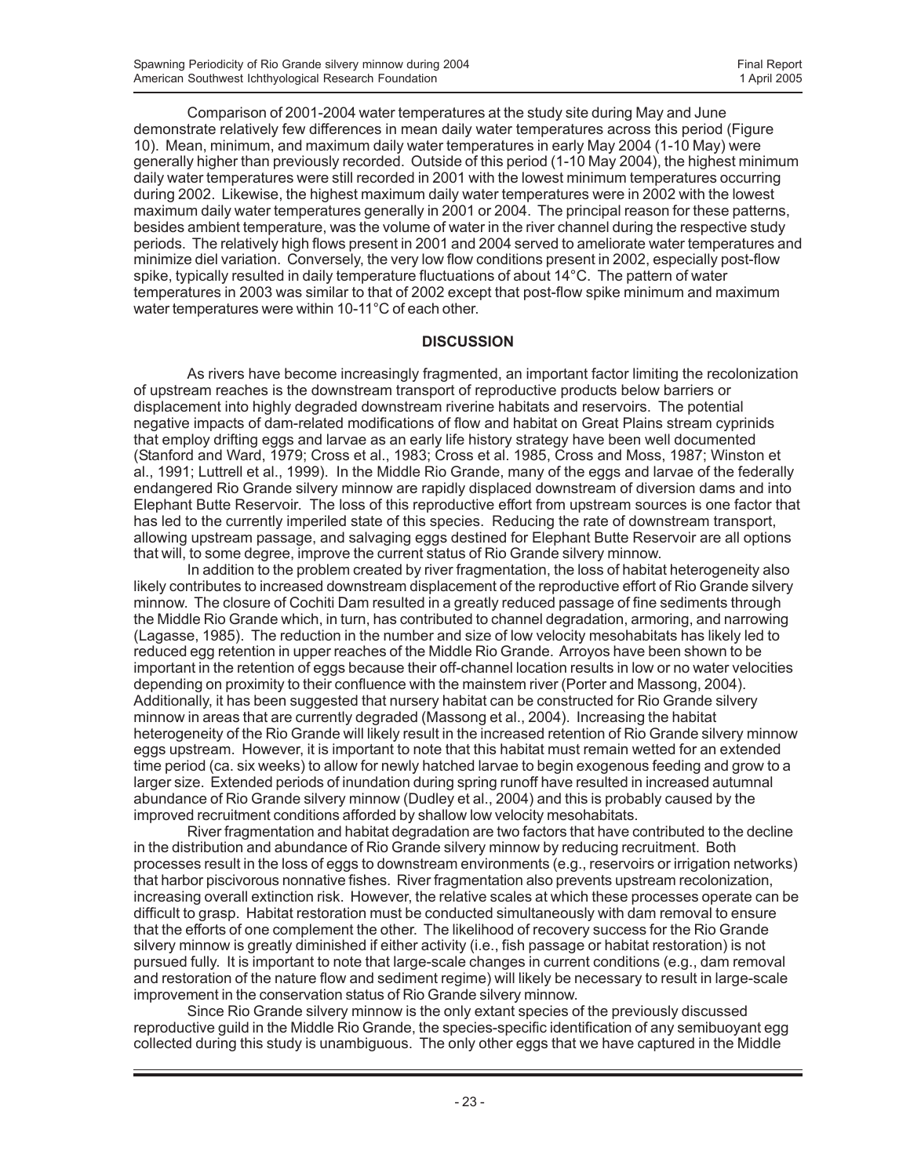Comparison of 2001-2004 water temperatures at the study site during May and June demonstrate relatively few differences in mean daily water temperatures across this period (Figure 10). Mean, minimum, and maximum daily water temperatures in early May 2004 (1-10 May) were generally higher than previously recorded. Outside of this period (1-10 May 2004), the highest minimum daily water temperatures were still recorded in 2001 with the lowest minimum temperatures occurring during 2002. Likewise, the highest maximum daily water temperatures were in 2002 with the lowest maximum daily water temperatures generally in 2001 or 2004. The principal reason for these patterns, besides ambient temperature, was the volume of water in the river channel during the respective study periods. The relatively high flows present in 2001 and 2004 served to ameliorate water temperatures and minimize diel variation. Conversely, the very low flow conditions present in 2002, especially post-flow spike, typically resulted in daily temperature fluctuations of about 14°C. The pattern of water temperatures in 2003 was similar to that of 2002 except that post-flow spike minimum and maximum water temperatures were within 10-11°C of each other.

### **DISCUSSION**

As rivers have become increasingly fragmented, an important factor limiting the recolonization of upstream reaches is the downstream transport of reproductive products below barriers or displacement into highly degraded downstream riverine habitats and reservoirs. The potential negative impacts of dam-related modifications of flow and habitat on Great Plains stream cyprinids that employ drifting eggs and larvae as an early life history strategy have been well documented (Stanford and Ward, 1979; Cross et al., 1983; Cross et al. 1985, Cross and Moss, 1987; Winston et al., 1991; Luttrell et al., 1999). In the Middle Rio Grande, many of the eggs and larvae of the federally endangered Rio Grande silvery minnow are rapidly displaced downstream of diversion dams and into Elephant Butte Reservoir. The loss of this reproductive effort from upstream sources is one factor that has led to the currently imperiled state of this species. Reducing the rate of downstream transport, allowing upstream passage, and salvaging eggs destined for Elephant Butte Reservoir are all options that will, to some degree, improve the current status of Rio Grande silvery minnow.

In addition to the problem created by river fragmentation, the loss of habitat heterogeneity also likely contributes to increased downstream displacement of the reproductive effort of Rio Grande silvery minnow. The closure of Cochiti Dam resulted in a greatly reduced passage of fine sediments through the Middle Rio Grande which, in turn, has contributed to channel degradation, armoring, and narrowing (Lagasse, 1985). The reduction in the number and size of low velocity mesohabitats has likely led to reduced egg retention in upper reaches of the Middle Rio Grande. Arroyos have been shown to be important in the retention of eggs because their off-channel location results in low or no water velocities depending on proximity to their confluence with the mainstem river (Porter and Massong, 2004). Additionally, it has been suggested that nursery habitat can be constructed for Rio Grande silvery minnow in areas that are currently degraded (Massong et al., 2004). Increasing the habitat heterogeneity of the Rio Grande will likely result in the increased retention of Rio Grande silvery minnow eggs upstream. However, it is important to note that this habitat must remain wetted for an extended time period (ca. six weeks) to allow for newly hatched larvae to begin exogenous feeding and grow to a larger size. Extended periods of inundation during spring runoff have resulted in increased autumnal abundance of Rio Grande silvery minnow (Dudley et al., 2004) and this is probably caused by the improved recruitment conditions afforded by shallow low velocity mesohabitats.

River fragmentation and habitat degradation are two factors that have contributed to the decline in the distribution and abundance of Rio Grande silvery minnow by reducing recruitment. Both processes result in the loss of eggs to downstream environments (e.g., reservoirs or irrigation networks) that harbor piscivorous nonnative fishes. River fragmentation also prevents upstream recolonization, increasing overall extinction risk. However, the relative scales at which these processes operate can be difficult to grasp. Habitat restoration must be conducted simultaneously with dam removal to ensure that the efforts of one complement the other. The likelihood of recovery success for the Rio Grande silvery minnow is greatly diminished if either activity (i.e., fish passage or habitat restoration) is not pursued fully. It is important to note that large-scale changes in current conditions (e.g., dam removal and restoration of the nature flow and sediment regime) will likely be necessary to result in large-scale improvement in the conservation status of Rio Grande silvery minnow.

Since Rio Grande silvery minnow is the only extant species of the previously discussed reproductive guild in the Middle Rio Grande, the species-specific identification of any semibuoyant egg collected during this study is unambiguous. The only other eggs that we have captured in the Middle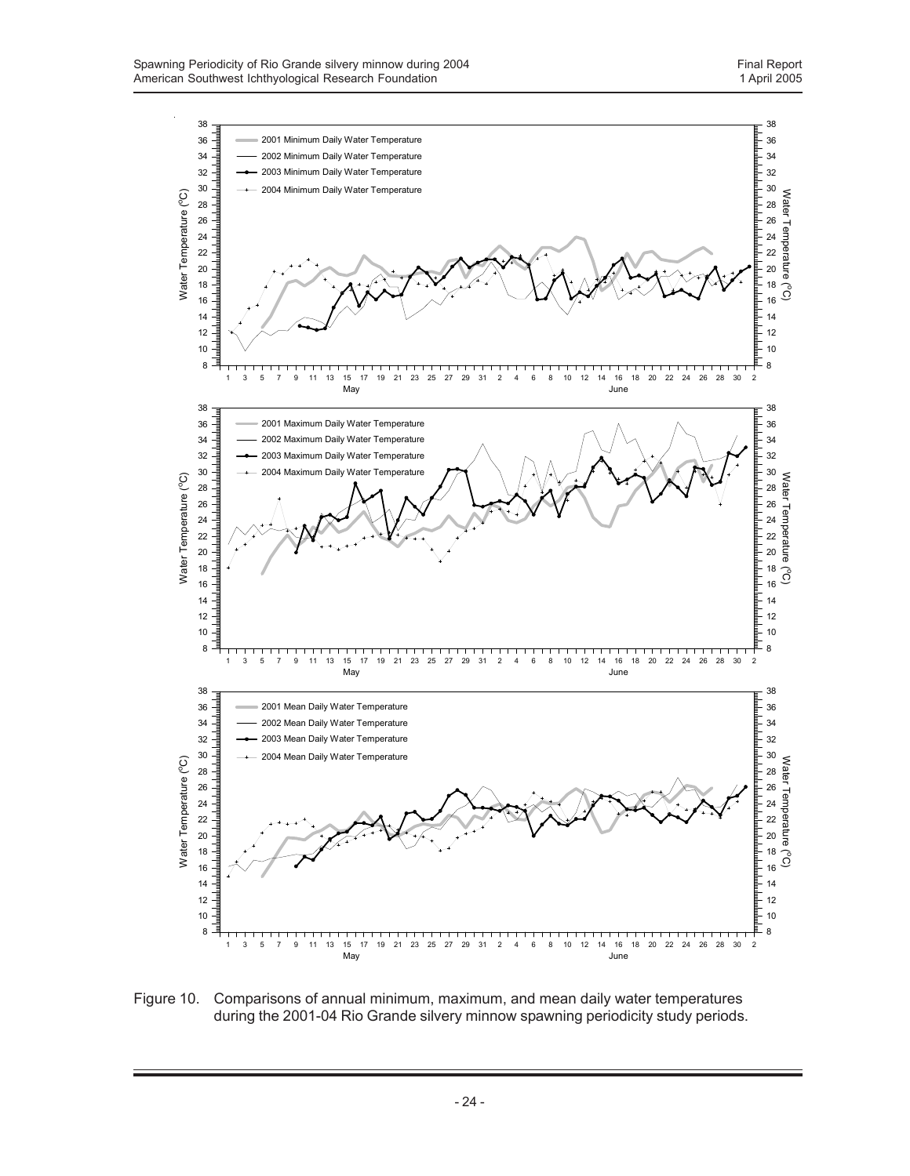

Figure 10. Comparisons of annual minimum, maximum, and mean daily water temperatures during the 2001-04 Rio Grande silvery minnow spawning periodicity study periods.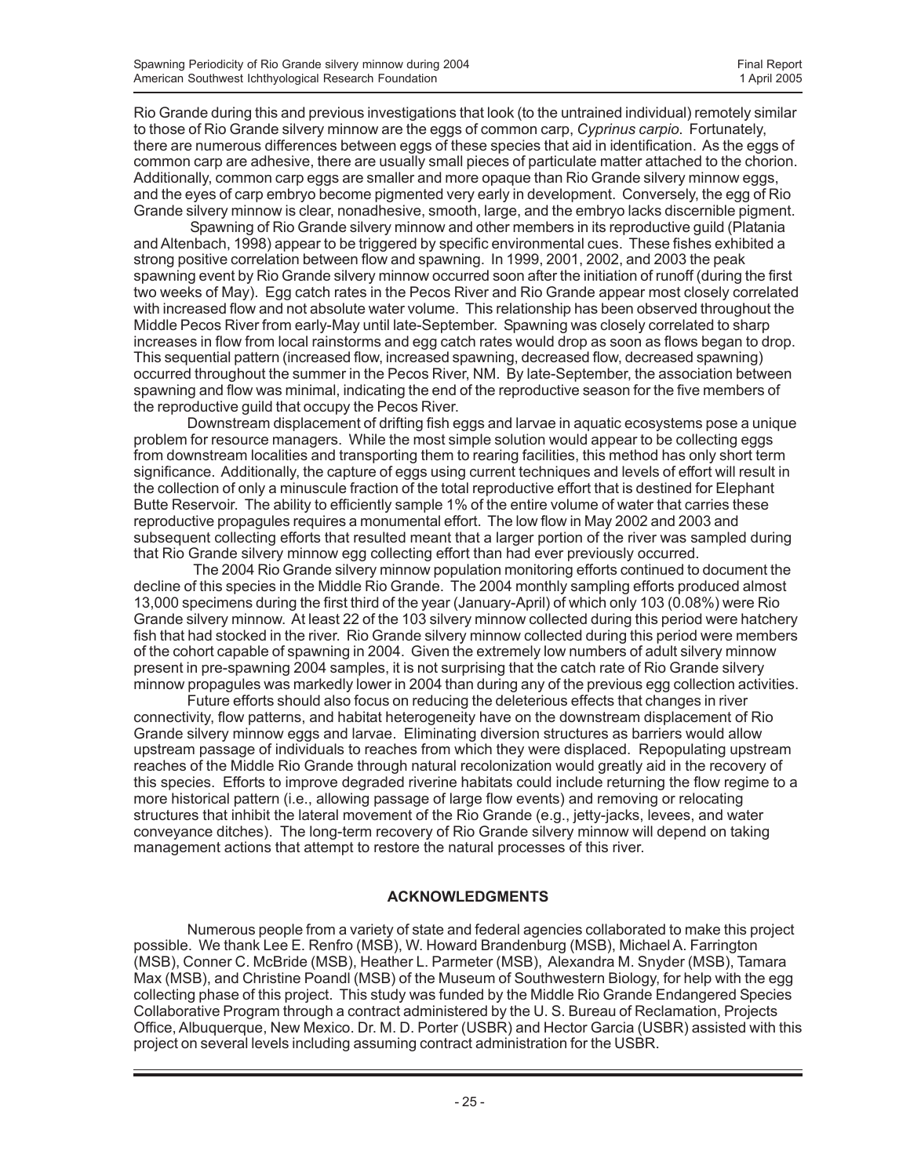Rio Grande during this and previous investigations that look (to the untrained individual) remotely similar to those of Rio Grande silvery minnow are the eggs of common carp, *Cyprinus carpio*. Fortunately, there are numerous differences between eggs of these species that aid in identification. As the eggs of common carp are adhesive, there are usually small pieces of particulate matter attached to the chorion. Additionally, common carp eggs are smaller and more opaque than Rio Grande silvery minnow eggs, and the eyes of carp embryo become pigmented very early in development. Conversely, the egg of Rio Grande silvery minnow is clear, nonadhesive, smooth, large, and the embryo lacks discernible pigment.

 Spawning of Rio Grande silvery minnow and other members in its reproductive guild (Platania and Altenbach, 1998) appear to be triggered by specific environmental cues. These fishes exhibited a strong positive correlation between flow and spawning. In 1999, 2001, 2002, and 2003 the peak spawning event by Rio Grande silvery minnow occurred soon after the initiation of runoff (during the first two weeks of May). Egg catch rates in the Pecos River and Rio Grande appear most closely correlated with increased flow and not absolute water volume. This relationship has been observed throughout the Middle Pecos River from early-May until late-September. Spawning was closely correlated to sharp increases in flow from local rainstorms and egg catch rates would drop as soon as flows began to drop. This sequential pattern (increased flow, increased spawning, decreased flow, decreased spawning) occurred throughout the summer in the Pecos River, NM. By late-September, the association between spawning and flow was minimal, indicating the end of the reproductive season for the five members of the reproductive guild that occupy the Pecos River.

Downstream displacement of drifting fish eggs and larvae in aquatic ecosystems pose a unique problem for resource managers. While the most simple solution would appear to be collecting eggs from downstream localities and transporting them to rearing facilities, this method has only short term significance. Additionally, the capture of eggs using current techniques and levels of effort will result in the collection of only a minuscule fraction of the total reproductive effort that is destined for Elephant Butte Reservoir. The ability to efficiently sample 1% of the entire volume of water that carries these reproductive propagules requires a monumental effort. The low flow in May 2002 and 2003 and subsequent collecting efforts that resulted meant that a larger portion of the river was sampled during that Rio Grande silvery minnow egg collecting effort than had ever previously occurred.

 The 2004 Rio Grande silvery minnow population monitoring efforts continued to document the decline of this species in the Middle Rio Grande. The 2004 monthly sampling efforts produced almost 13,000 specimens during the first third of the year (January-April) of which only 103 (0.08%) were Rio Grande silvery minnow. At least 22 of the 103 silvery minnow collected during this period were hatchery fish that had stocked in the river. Rio Grande silvery minnow collected during this period were members of the cohort capable of spawning in 2004. Given the extremely low numbers of adult silvery minnow present in pre-spawning 2004 samples, it is not surprising that the catch rate of Rio Grande silvery minnow propagules was markedly lower in 2004 than during any of the previous egg collection activities.

Future efforts should also focus on reducing the deleterious effects that changes in river connectivity, flow patterns, and habitat heterogeneity have on the downstream displacement of Rio Grande silvery minnow eggs and larvae. Eliminating diversion structures as barriers would allow upstream passage of individuals to reaches from which they were displaced. Repopulating upstream reaches of the Middle Rio Grande through natural recolonization would greatly aid in the recovery of this species. Efforts to improve degraded riverine habitats could include returning the flow regime to a more historical pattern (i.e., allowing passage of large flow events) and removing or relocating structures that inhibit the lateral movement of the Rio Grande (e.g., jetty-jacks, levees, and water conveyance ditches). The long-term recovery of Rio Grande silvery minnow will depend on taking management actions that attempt to restore the natural processes of this river.

## **ACKNOWLEDGMENTS**

Numerous people from a variety of state and federal agencies collaborated to make this project possible. We thank Lee E. Renfro (MSB), W. Howard Brandenburg (MSB), Michael A. Farrington (MSB), Conner C. McBride (MSB), Heather L. Parmeter (MSB), Alexandra M. Snyder (MSB), Tamara Max (MSB), and Christine Poandl (MSB) of the Museum of Southwestern Biology, for help with the egg collecting phase of this project. This study was funded by the Middle Rio Grande Endangered Species Collaborative Program through a contract administered by the U. S. Bureau of Reclamation, Projects Office, Albuquerque, New Mexico. Dr. M. D. Porter (USBR) and Hector Garcia (USBR) assisted with this project on several levels including assuming contract administration for the USBR.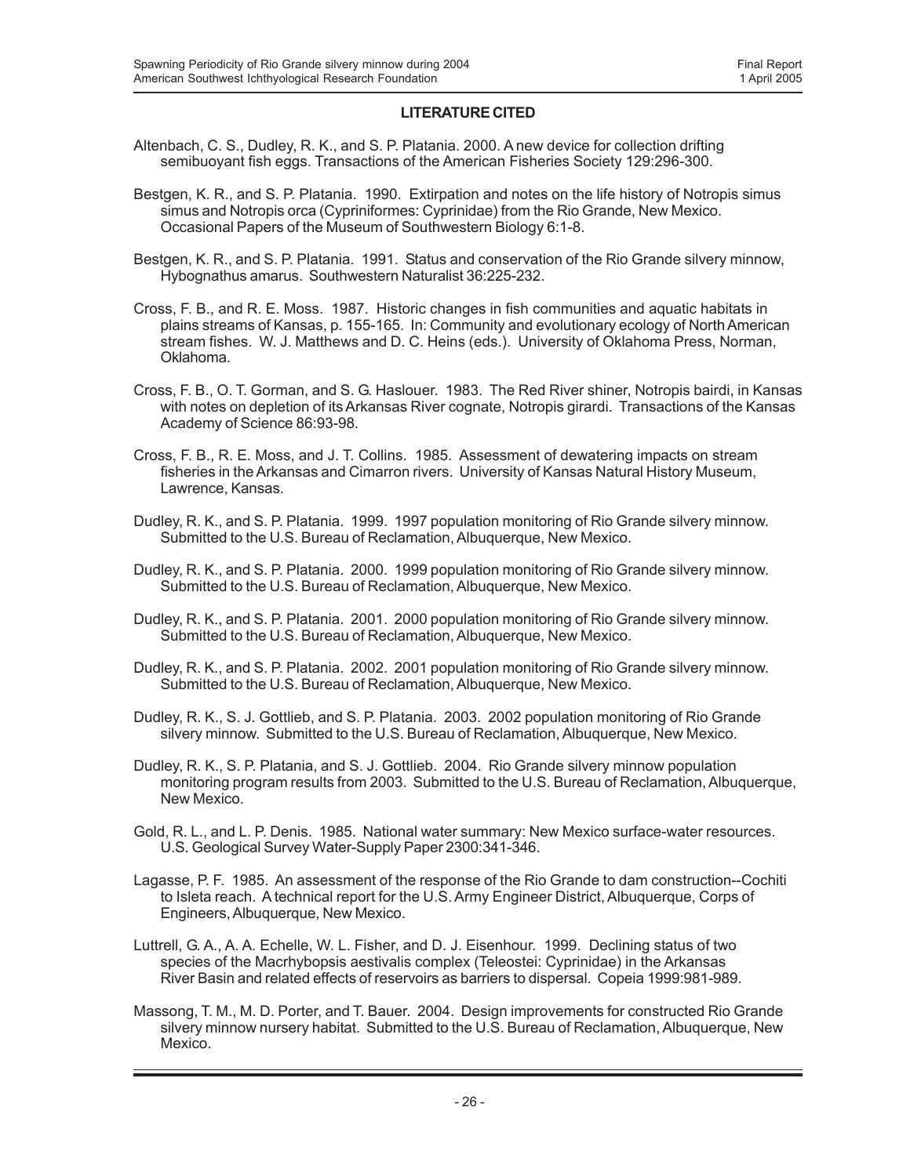### **LITERATURE CITED**

- Altenbach, C. S., Dudley, R. K., and S. P. Platania. 2000. A new device for collection drifting semibuoyant fish eggs. Transactions of the American Fisheries Society 129:296-300.
- Bestgen, K. R., and S. P. Platania. 1990. Extirpation and notes on the life history of Notropis simus simus and Notropis orca (Cypriniformes: Cyprinidae) from the Rio Grande, New Mexico. Occasional Papers of the Museum of Southwestern Biology 6:1-8.
- Bestgen, K. R., and S. P. Platania. 1991. Status and conservation of the Rio Grande silvery minnow, Hybognathus amarus. Southwestern Naturalist 36:225-232.
- Cross, F. B., and R. E. Moss. 1987. Historic changes in fish communities and aquatic habitats in plains streams of Kansas, p. 155-165. In: Community and evolutionary ecology of North American stream fishes. W. J. Matthews and D. C. Heins (eds.). University of Oklahoma Press, Norman, Oklahoma.
- Cross, F. B., O. T. Gorman, and S. G. Haslouer. 1983. The Red River shiner, Notropis bairdi, in Kansas with notes on depletion of its Arkansas River cognate, Notropis girardi. Transactions of the Kansas Academy of Science 86:93-98.
- Cross, F. B., R. E. Moss, and J. T. Collins. 1985. Assessment of dewatering impacts on stream fisheries in the Arkansas and Cimarron rivers. University of Kansas Natural History Museum, Lawrence, Kansas.
- Dudley, R. K., and S. P. Platania. 1999. 1997 population monitoring of Rio Grande silvery minnow. Submitted to the U.S. Bureau of Reclamation, Albuquerque, New Mexico.
- Dudley, R. K., and S. P. Platania. 2000. 1999 population monitoring of Rio Grande silvery minnow. Submitted to the U.S. Bureau of Reclamation, Albuquerque, New Mexico.
- Dudley, R. K., and S. P. Platania. 2001. 2000 population monitoring of Rio Grande silvery minnow. Submitted to the U.S. Bureau of Reclamation, Albuquerque, New Mexico.
- Dudley, R. K., and S. P. Platania. 2002. 2001 population monitoring of Rio Grande silvery minnow. Submitted to the U.S. Bureau of Reclamation, Albuquerque, New Mexico.
- Dudley, R. K., S. J. Gottlieb, and S. P. Platania. 2003. 2002 population monitoring of Rio Grande silvery minnow. Submitted to the U.S. Bureau of Reclamation, Albuquerque, New Mexico.
- Dudley, R. K., S. P. Platania, and S. J. Gottlieb. 2004. Rio Grande silvery minnow population monitoring program results from 2003. Submitted to the U.S. Bureau of Reclamation, Albuquerque, New Mexico.
- Gold, R. L., and L. P. Denis. 1985. National water summary: New Mexico surface-water resources. U.S. Geological Survey Water-Supply Paper 2300:341-346.
- Lagasse, P. F. 1985. An assessment of the response of the Rio Grande to dam construction--Cochiti to Isleta reach. A technical report for the U.S. Army Engineer District, Albuquerque, Corps of Engineers, Albuquerque, New Mexico.
- Luttrell, G. A., A. A. Echelle, W. L. Fisher, and D. J. Eisenhour. 1999. Declining status of two species of the Macrhybopsis aestivalis complex (Teleostei: Cyprinidae) in the Arkansas River Basin and related effects of reservoirs as barriers to dispersal. Copeia 1999:981-989.
- Massong, T. M., M. D. Porter, and T. Bauer. 2004. Design improvements for constructed Rio Grande silvery minnow nursery habitat. Submitted to the U.S. Bureau of Reclamation, Albuquerque, New Mexico.